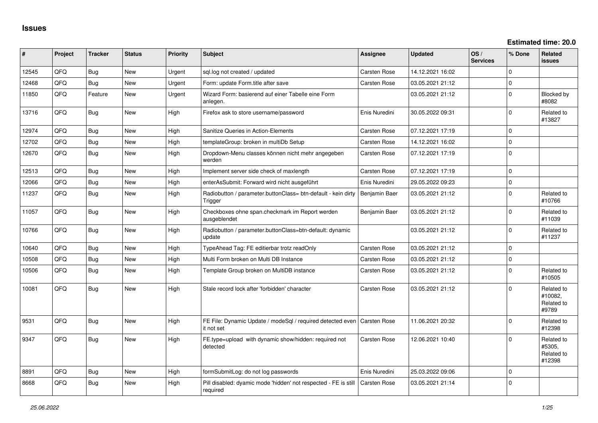| #     | Project | <b>Tracker</b> | <b>Status</b> | <b>Priority</b> | Subject                                                                                 | <b>Assignee</b>     | <b>Updated</b>   | OS/<br><b>Services</b> | % Done       | Related<br><b>issues</b>                     |
|-------|---------|----------------|---------------|-----------------|-----------------------------------------------------------------------------------------|---------------------|------------------|------------------------|--------------|----------------------------------------------|
| 12545 | QFQ     | Bug            | <b>New</b>    | Urgent          | sql.log not created / updated                                                           | Carsten Rose        | 14.12.2021 16:02 |                        | $\Omega$     |                                              |
| 12468 | QFQ     | Bug            | <b>New</b>    | Urgent          | Form: update Form.title after save                                                      | <b>Carsten Rose</b> | 03.05.2021 21:12 |                        | $\Omega$     |                                              |
| 11850 | QFQ     | Feature        | <b>New</b>    | Urgent          | Wizard Form: basierend auf einer Tabelle eine Form<br>anlegen.                          |                     | 03.05.2021 21:12 |                        | 0            | Blocked by<br>#8082                          |
| 13716 | QFQ     | Bug            | New           | High            | Firefox ask to store username/password                                                  | Enis Nuredini       | 30.05.2022 09:31 |                        | $\Omega$     | Related to<br>#13827                         |
| 12974 | QFQ     | Bug            | <b>New</b>    | High            | Sanitize Queries in Action-Elements                                                     | Carsten Rose        | 07.12.2021 17:19 |                        | $\Omega$     |                                              |
| 12702 | QFQ     | Bug            | New           | High            | templateGroup: broken in multiDb Setup                                                  | Carsten Rose        | 14.12.2021 16:02 |                        | $\Omega$     |                                              |
| 12670 | QFQ     | Bug            | <b>New</b>    | High            | Dropdown-Menu classes können nicht mehr angegeben<br>werden                             | Carsten Rose        | 07.12.2021 17:19 |                        | $\Omega$     |                                              |
| 12513 | QFQ     | Bug            | <b>New</b>    | High            | Implement server side check of maxlength                                                | Carsten Rose        | 07.12.2021 17:19 |                        | 0            |                                              |
| 12066 | QFQ     | <b>Bug</b>     | <b>New</b>    | High            | enterAsSubmit: Forward wird nicht ausgeführt                                            | Enis Nuredini       | 29.05.2022 09:23 |                        | $\Omega$     |                                              |
| 11237 | QFQ     | Bug            | <b>New</b>    | High            | Radiobutton / parameter.buttonClass= btn-default - kein dirty<br>Trigger                | Benjamin Baer       | 03.05.2021 21:12 |                        | 0            | Related to<br>#10766                         |
| 11057 | QFQ     | Bug            | New           | High            | Checkboxes ohne span.checkmark im Report werden<br>ausgeblendet                         | Benjamin Baer       | 03.05.2021 21:12 |                        | 0            | Related to<br>#11039                         |
| 10766 | QFQ     | Bug            | New           | High            | Radiobutton / parameter.buttonClass=btn-default: dynamic<br>update                      |                     | 03.05.2021 21:12 |                        | $\Omega$     | Related to<br>#11237                         |
| 10640 | QFQ     | Bug            | New           | High            | TypeAhead Tag: FE editierbar trotz readOnly                                             | <b>Carsten Rose</b> | 03.05.2021 21:12 |                        | $\Omega$     |                                              |
| 10508 | QFQ     | Bug            | <b>New</b>    | High            | Multi Form broken on Multi DB Instance                                                  | Carsten Rose        | 03.05.2021 21:12 |                        | $\Omega$     |                                              |
| 10506 | QFQ     | Bug            | New           | High            | Template Group broken on MultiDB instance                                               | Carsten Rose        | 03.05.2021 21:12 |                        | <sup>0</sup> | Related to<br>#10505                         |
| 10081 | QFQ     | Bug            | New           | High            | Stale record lock after 'forbidden' character                                           | Carsten Rose        | 03.05.2021 21:12 |                        | $\Omega$     | Related to<br>#10082,<br>Related to<br>#9789 |
| 9531  | QFQ     | Bug            | <b>New</b>    | High            | FE File: Dynamic Update / modeSql / required detected even   Carsten Rose<br>it not set |                     | 11.06.2021 20:32 |                        | $\Omega$     | Related to<br>#12398                         |
| 9347  | QFQ     | Bug            | <b>New</b>    | High            | FE.type=upload with dynamic show/hidden: required not<br>detected                       | Carsten Rose        | 12.06.2021 10:40 |                        | $\Omega$     | Related to<br>#5305.<br>Related to<br>#12398 |
| 8891  | QFQ     | Bug            | <b>New</b>    | High            | formSubmitLog: do not log passwords                                                     | Enis Nuredini       | 25.03.2022 09:06 |                        | 0            |                                              |
| 8668  | QFQ     | Bug            | <b>New</b>    | High            | Pill disabled: dyamic mode 'hidden' not respected - FE is still<br>required             | Carsten Rose        | 03.05.2021 21:14 |                        | $\Omega$     |                                              |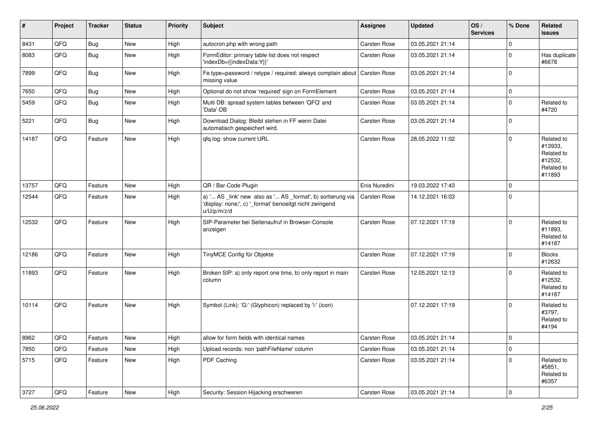| #     | Project | <b>Tracker</b> | <b>Status</b> | <b>Priority</b> | Subject                                                                                                                               | <b>Assignee</b> | <b>Updated</b>   | OS/<br><b>Services</b> | % Done      | Related<br>issues                                                      |
|-------|---------|----------------|---------------|-----------------|---------------------------------------------------------------------------------------------------------------------------------------|-----------------|------------------|------------------------|-------------|------------------------------------------------------------------------|
| 8431  | QFQ     | Bug            | New           | High            | autocron.php with wrong path                                                                                                          | Carsten Rose    | 03.05.2021 21:14 |                        | $\mathbf 0$ |                                                                        |
| 8083  | QFQ     | Bug            | New           | High            | FormEditor: primary table list does not respect<br>'indexDb={{indexData:Y}}'                                                          | Carsten Rose    | 03.05.2021 21:14 |                        | $\mathbf 0$ | Has duplicate<br>#6678                                                 |
| 7899  | QFQ     | Bug            | New           | High            | Fe.type=password / retype / required: always complain about<br>missing value                                                          | Carsten Rose    | 03.05.2021 21:14 |                        | $\mathbf 0$ |                                                                        |
| 7650  | QFQ     | Bug            | New           | High            | Optional do not show 'required' sign on FormElement                                                                                   | Carsten Rose    | 03.05.2021 21:14 |                        | $\mathbf 0$ |                                                                        |
| 5459  | QFQ     | Bug            | New           | High            | Multi DB: spread system tables between 'QFQ' and<br>'Data'-DB                                                                         | Carsten Rose    | 03.05.2021 21:14 |                        | $\mathbf 0$ | Related to<br>#4720                                                    |
| 5221  | QFQ     | Bug            | <b>New</b>    | High            | Download Dialog: Bleibt stehen in FF wenn Datei<br>automatisch gespeichert wird.                                                      | Carsten Rose    | 03.05.2021 21:14 |                        | $\mathbf 0$ |                                                                        |
| 14187 | QFQ     | Feature        | New           | High            | qfq.log: show current URL                                                                                                             | Carsten Rose    | 28.05.2022 11:02 |                        | $\mathbf 0$ | Related to<br>#13933.<br>Related to<br>#12532,<br>Related to<br>#11893 |
| 13757 | QFQ     | Feature        | New           | High            | QR / Bar-Code Plugin                                                                                                                  | Enis Nuredini   | 19.03.2022 17:43 |                        | $\mathbf 0$ |                                                                        |
| 12544 | QFQ     | Feature        | <b>New</b>    | High            | a) ' AS _link' new also as ' AS _format', b) sortierung via<br>'display: none;', c) '_format' benoeitgt nicht zwingend<br>u/U/p/m/z/d | Carsten Rose    | 14.12.2021 16:03 |                        | $\Omega$    |                                                                        |
| 12532 | QFQ     | Feature        | <b>New</b>    | High            | SIP-Parameter bei Seitenaufruf in Browser-Console<br>anzeigen                                                                         | Carsten Rose    | 07.12.2021 17:19 |                        | $\mathbf 0$ | Related to<br>#11893.<br>Related to<br>#14187                          |
| 12186 | QFQ     | Feature        | New           | High            | TinyMCE Config für Objekte                                                                                                            | Carsten Rose    | 07.12.2021 17:19 |                        | $\Omega$    | <b>Blocks</b><br>#12632                                                |
| 11893 | QFQ     | Feature        | New           | High            | Broken SIP: a) only report one time, b) only report in main<br>column                                                                 | Carsten Rose    | 12.05.2021 12:13 |                        | $\mathbf 0$ | Related to<br>#12532,<br>Related to<br>#14187                          |
| 10114 | QFQ     | Feature        | <b>New</b>    | High            | Symbol (Link): 'G:' (Glyphicon) replaced by 'i:' (icon)                                                                               |                 | 07.12.2021 17:19 |                        | $\mathbf 0$ | Related to<br>#3797,<br>Related to<br>#4194                            |
| 8962  | QFQ     | Feature        | New           | High            | allow for form fields with identical names                                                                                            | Carsten Rose    | 03.05.2021 21:14 |                        | 0           |                                                                        |
| 7850  | QFQ     | Feature        | New           | High            | Upload records: non 'pathFileName' column                                                                                             | Carsten Rose    | 03.05.2021 21:14 |                        | $\mathbf 0$ |                                                                        |
| 5715  | QFQ     | Feature        | New           | High            | PDF Caching                                                                                                                           | Carsten Rose    | 03.05.2021 21:14 |                        | $\mathbf 0$ | Related to<br>#5851,<br>Related to<br>#6357                            |
| 3727  | QFG     | Feature        | New           | High            | Security: Session Hijacking erschweren                                                                                                | Carsten Rose    | 03.05.2021 21:14 |                        | $\mathbf 0$ |                                                                        |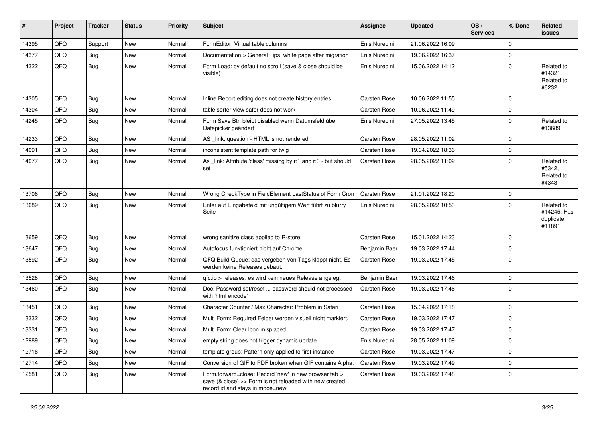| #     | Project | <b>Tracker</b> | <b>Status</b> | <b>Priority</b> | <b>Subject</b>                                                                                                                                      | Assignee      | <b>Updated</b>   | OS/<br><b>Services</b> | % Done      | Related<br>issues                                |
|-------|---------|----------------|---------------|-----------------|-----------------------------------------------------------------------------------------------------------------------------------------------------|---------------|------------------|------------------------|-------------|--------------------------------------------------|
| 14395 | QFQ     | Support        | <b>New</b>    | Normal          | FormEditor: Virtual table columns                                                                                                                   | Enis Nuredini | 21.06.2022 16:09 |                        | $\mathbf 0$ |                                                  |
| 14377 | QFQ     | Bug            | New           | Normal          | Documentation > General Tips: white page after migration                                                                                            | Enis Nuredini | 19.06.2022 16:37 |                        | $\mathbf 0$ |                                                  |
| 14322 | QFQ     | Bug            | <b>New</b>    | Normal          | Form Load: by default no scroll (save & close should be<br>visible)                                                                                 | Enis Nuredini | 15.06.2022 14:12 |                        | $\Omega$    | Related to<br>#14321,<br>Related to<br>#6232     |
| 14305 | QFQ     | <b>Bug</b>     | <b>New</b>    | Normal          | Inline Report editing does not create history entries                                                                                               | Carsten Rose  | 10.06.2022 11:55 |                        | 0           |                                                  |
| 14304 | QFQ     | Bug            | <b>New</b>    | Normal          | table sorter view safer does not work                                                                                                               | Carsten Rose  | 10.06.2022 11:49 |                        | $\mathbf 0$ |                                                  |
| 14245 | QFQ     | Bug            | New           | Normal          | Form Save Btn bleibt disabled wenn Datumsfeld über<br>Datepicker geändert                                                                           | Enis Nuredini | 27.05.2022 13:45 |                        | $\mathbf 0$ | Related to<br>#13689                             |
| 14233 | QFQ     | <b>Bug</b>     | New           | Normal          | AS _link: question - HTML is not rendered                                                                                                           | Carsten Rose  | 28.05.2022 11:02 |                        | $\mathbf 0$ |                                                  |
| 14091 | QFQ     | Bug            | New           | Normal          | inconsistent template path for twig                                                                                                                 | Carsten Rose  | 19.04.2022 18:36 |                        | 0           |                                                  |
| 14077 | QFQ     | Bug            | New           | Normal          | As link: Attribute 'class' missing by r:1 and r:3 - but should<br>set                                                                               | Carsten Rose  | 28.05.2022 11:02 |                        | $\mathbf 0$ | Related to<br>#5342,<br>Related to<br>#4343      |
| 13706 | QFQ     | Bug            | <b>New</b>    | Normal          | Wrong CheckType in FieldElement LastStatus of Form Cron                                                                                             | Carsten Rose  | 21.01.2022 18:20 |                        | $\mathbf 0$ |                                                  |
| 13689 | QFQ     | <b>Bug</b>     | <b>New</b>    | Normal          | Enter auf Eingabefeld mit ungültigem Wert führt zu blurry<br>Seite                                                                                  | Enis Nuredini | 28.05.2022 10:53 |                        | $\Omega$    | Related to<br>#14245, Has<br>duplicate<br>#11891 |
| 13659 | QFQ     | Bug            | <b>New</b>    | Normal          | wrong sanitize class applied to R-store                                                                                                             | Carsten Rose  | 15.01.2022 14:23 |                        | $\Omega$    |                                                  |
| 13647 | QFQ     | Bug            | <b>New</b>    | Normal          | Autofocus funktioniert nicht auf Chrome                                                                                                             | Benjamin Baer | 19.03.2022 17:44 |                        | 0           |                                                  |
| 13592 | QFQ     | Bug            | New           | Normal          | QFQ Build Queue: das vergeben von Tags klappt nicht. Es<br>werden keine Releases gebaut.                                                            | Carsten Rose  | 19.03.2022 17:45 |                        | $\Omega$    |                                                  |
| 13528 | QFQ     | Bug            | New           | Normal          | qfq.io > releases: es wird kein neues Release angelegt                                                                                              | Benjamin Baer | 19.03.2022 17:46 |                        | 0           |                                                  |
| 13460 | QFQ     | Bug            | New           | Normal          | Doc: Password set/reset  password should not processed<br>with 'html encode'                                                                        | Carsten Rose  | 19.03.2022 17:46 |                        | $\Omega$    |                                                  |
| 13451 | QFQ     | Bug            | <b>New</b>    | Normal          | Character Counter / Max Character: Problem in Safari                                                                                                | Carsten Rose  | 15.04.2022 17:18 |                        | $\mathbf 0$ |                                                  |
| 13332 | QFQ     | Bug            | <b>New</b>    | Normal          | Multi Form: Required Felder werden visuell nicht markiert.                                                                                          | Carsten Rose  | 19.03.2022 17:47 |                        | $\mathbf 0$ |                                                  |
| 13331 | QFQ     | Bug            | <b>New</b>    | Normal          | Multi Form: Clear Icon misplaced                                                                                                                    | Carsten Rose  | 19.03.2022 17:47 |                        | 0           |                                                  |
| 12989 | QFQ     | Bug            | New           | Normal          | empty string does not trigger dynamic update                                                                                                        | Enis Nuredini | 28.05.2022 11:09 |                        | 0           |                                                  |
| 12716 | QFQ     | <b>Bug</b>     | New           | Normal          | template group: Pattern only applied to first instance                                                                                              | Carsten Rose  | 19.03.2022 17:47 |                        | $\pmb{0}$   |                                                  |
| 12714 | QFQ     | Bug            | New           | Normal          | Conversion of GIF to PDF broken when GIF contains Alpha.                                                                                            | Carsten Rose  | 19.03.2022 17:49 |                        | $\mathbf 0$ |                                                  |
| 12581 | QFQ     | <b>Bug</b>     | New           | Normal          | Form.forward=close: Record 'new' in new browser tab ><br>save (& close) >> Form is not reloaded with new created<br>record id and stays in mode=new | Carsten Rose  | 19.03.2022 17:48 |                        | $\mathbf 0$ |                                                  |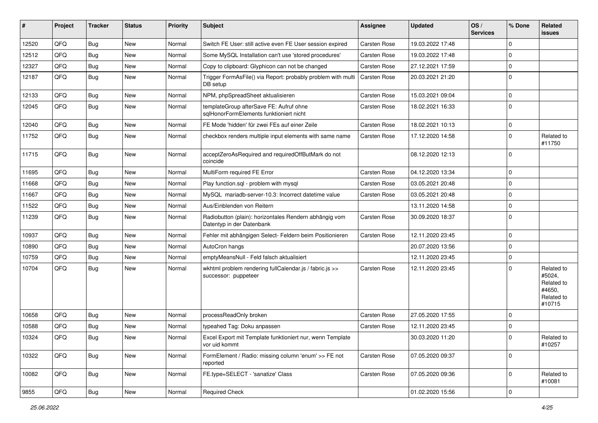| #     | Project | <b>Tracker</b> | <b>Status</b> | <b>Priority</b> | <b>Subject</b>                                                                      | Assignee            | <b>Updated</b>   | OS/<br><b>Services</b> | % Done      | Related<br><b>issues</b>                                             |
|-------|---------|----------------|---------------|-----------------|-------------------------------------------------------------------------------------|---------------------|------------------|------------------------|-------------|----------------------------------------------------------------------|
| 12520 | QFQ     | <b>Bug</b>     | <b>New</b>    | Normal          | Switch FE User: still active even FE User session expired                           | Carsten Rose        | 19.03.2022 17:48 |                        | $\Omega$    |                                                                      |
| 12512 | QFQ     | <b>Bug</b>     | New           | Normal          | Some MySQL Installation can't use 'stored procedures'                               | Carsten Rose        | 19.03.2022 17:48 |                        | $\mathbf 0$ |                                                                      |
| 12327 | QFQ     | <b>Bug</b>     | <b>New</b>    | Normal          | Copy to clipboard: Glyphicon can not be changed                                     | Carsten Rose        | 27.12.2021 17:59 |                        | $\Omega$    |                                                                      |
| 12187 | QFQ     | <b>Bug</b>     | New           | Normal          | Trigger FormAsFile() via Report: probably problem with multi<br>DB setup            | <b>Carsten Rose</b> | 20.03.2021 21:20 |                        | $\Omega$    |                                                                      |
| 12133 | QFQ     | <b>Bug</b>     | <b>New</b>    | Normal          | NPM, phpSpreadSheet aktualisieren                                                   | Carsten Rose        | 15.03.2021 09:04 |                        | $\Omega$    |                                                                      |
| 12045 | QFQ     | Bug            | New           | Normal          | templateGroup afterSave FE: Aufruf ohne<br>sqlHonorFormElements funktioniert nicht  | Carsten Rose        | 18.02.2021 16:33 |                        | $\Omega$    |                                                                      |
| 12040 | QFQ     | <b>Bug</b>     | New           | Normal          | FE Mode 'hidden' für zwei FEs auf einer Zeile                                       | Carsten Rose        | 18.02.2021 10:13 |                        | $\mathbf 0$ |                                                                      |
| 11752 | QFQ     | Bug            | New           | Normal          | checkbox renders multiple input elements with same name                             | Carsten Rose        | 17.12.2020 14:58 |                        | $\Omega$    | Related to<br>#11750                                                 |
| 11715 | QFQ     | <b>Bug</b>     | New           | Normal          | acceptZeroAsRequired and requiredOffButMark do not<br>coincide                      |                     | 08.12.2020 12:13 |                        | $\Omega$    |                                                                      |
| 11695 | QFQ     | <b>Bug</b>     | <b>New</b>    | Normal          | MultiForm required FE Error                                                         | Carsten Rose        | 04.12.2020 13:34 |                        | $\Omega$    |                                                                      |
| 11668 | QFQ     | <b>Bug</b>     | <b>New</b>    | Normal          | Play function.sql - problem with mysql                                              | Carsten Rose        | 03.05.2021 20:48 |                        | $\Omega$    |                                                                      |
| 11667 | QFQ     | <b>Bug</b>     | New           | Normal          | MySQL mariadb-server-10.3: Incorrect datetime value                                 | Carsten Rose        | 03.05.2021 20:48 |                        | $\Omega$    |                                                                      |
| 11522 | QFQ     | <b>Bug</b>     | <b>New</b>    | Normal          | Aus/Einblenden von Reitern                                                          |                     | 13.11.2020 14:58 |                        | $\Omega$    |                                                                      |
| 11239 | QFQ     | <b>Bug</b>     | New           | Normal          | Radiobutton (plain): horizontales Rendern abhängig vom<br>Datentyp in der Datenbank | <b>Carsten Rose</b> | 30.09.2020 18:37 |                        | $\Omega$    |                                                                      |
| 10937 | QFQ     | <b>Bug</b>     | New           | Normal          | Fehler mit abhängigen Select- Feldern beim Positionieren                            | Carsten Rose        | 12.11.2020 23:45 |                        | $\Omega$    |                                                                      |
| 10890 | QFQ     | <b>Bug</b>     | <b>New</b>    | Normal          | AutoCron hangs                                                                      |                     | 20.07.2020 13:56 |                        | $\Omega$    |                                                                      |
| 10759 | QFQ     | <b>Bug</b>     | <b>New</b>    | Normal          | emptyMeansNull - Feld falsch aktualisiert                                           |                     | 12.11.2020 23:45 |                        | $\mathbf 0$ |                                                                      |
| 10704 | QFQ     | <b>Bug</b>     | <b>New</b>    | Normal          | wkhtml problem rendering fullCalendar.js / fabric.js >><br>successor: puppeteer     | Carsten Rose        | 12.11.2020 23:45 |                        | $\Omega$    | Related to<br>#5024,<br>Related to<br>#4650,<br>Related to<br>#10715 |
| 10658 | QFQ     | <b>Bug</b>     | <b>New</b>    | Normal          | processReadOnly broken                                                              | Carsten Rose        | 27.05.2020 17:55 |                        | $\Omega$    |                                                                      |
| 10588 | QFQ     | <b>Bug</b>     | New           | Normal          | typeahed Tag: Doku anpassen                                                         | Carsten Rose        | 12.11.2020 23:45 |                        | $\Omega$    |                                                                      |
| 10324 | QFQ     | Bug            | New           | Normal          | Excel Export mit Template funktioniert nur, wenn Template<br>vor uid kommt          |                     | 30.03.2020 11:20 |                        | $\pmb{0}$   | Related to<br>#10257                                                 |
| 10322 | QFQ     | Bug            | New           | Normal          | FormElement / Radio: missing column 'enum' >> FE not<br>reported                    | Carsten Rose        | 07.05.2020 09:37 |                        | $\mathbf 0$ |                                                                      |
| 10082 | QFQ     | Bug            | New           | Normal          | FE.type=SELECT - 'sanatize' Class                                                   | Carsten Rose        | 07.05.2020 09:36 |                        | $\mathbf 0$ | Related to<br>#10081                                                 |
| 9855  | QFQ     | Bug            | New           | Normal          | <b>Required Check</b>                                                               |                     | 01.02.2020 15:56 |                        | $\pmb{0}$   |                                                                      |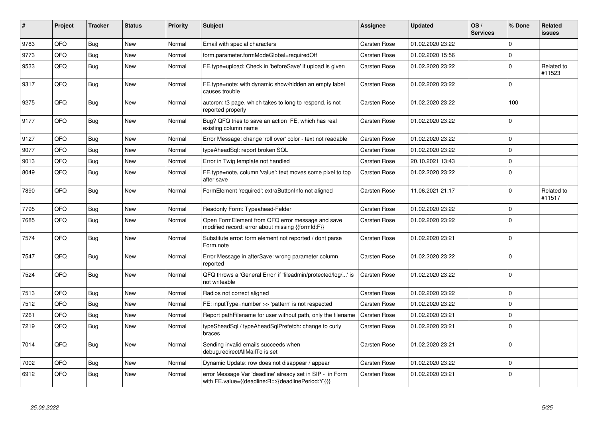| $\sharp$ | Project | <b>Tracker</b> | <b>Status</b> | <b>Priority</b> | <b>Subject</b>                                                                                                   | Assignee            | <b>Updated</b>   | OS/<br><b>Services</b> | % Done      | <b>Related</b><br><b>issues</b> |
|----------|---------|----------------|---------------|-----------------|------------------------------------------------------------------------------------------------------------------|---------------------|------------------|------------------------|-------------|---------------------------------|
| 9783     | QFQ     | Bug            | <b>New</b>    | Normal          | Email with special characters                                                                                    | <b>Carsten Rose</b> | 01.02.2020 23:22 |                        | $\Omega$    |                                 |
| 9773     | QFQ     | Bug            | <b>New</b>    | Normal          | form.parameter.formModeGlobal=requiredOff                                                                        | Carsten Rose        | 01.02.2020 15:56 |                        | $\Omega$    |                                 |
| 9533     | QFQ     | Bug            | <b>New</b>    | Normal          | FE.type=upload: Check in 'beforeSave' if upload is given                                                         | <b>Carsten Rose</b> | 01.02.2020 23:22 |                        | $\mathbf 0$ | Related to<br>#11523            |
| 9317     | QFQ     | <b>Bug</b>     | <b>New</b>    | Normal          | FE.type=note: with dynamic show/hidden an empty label<br>causes trouble                                          | Carsten Rose        | 01.02.2020 23:22 |                        | $\Omega$    |                                 |
| 9275     | QFQ     | Bug            | New           | Normal          | autcron: t3 page, which takes to long to respond, is not<br>reported properly                                    | Carsten Rose        | 01.02.2020 23:22 |                        | 100         |                                 |
| 9177     | QFQ     | Bug            | <b>New</b>    | Normal          | Bug? QFQ tries to save an action FE, which has real<br>existing column name                                      | Carsten Rose        | 01.02.2020 23:22 |                        | $\Omega$    |                                 |
| 9127     | QFQ     | Bug            | <b>New</b>    | Normal          | Error Message: change 'roll over' color - text not readable                                                      | Carsten Rose        | 01.02.2020 23:22 |                        | $\mathbf 0$ |                                 |
| 9077     | QFQ     | Bug            | <b>New</b>    | Normal          | typeAheadSql: report broken SQL                                                                                  | Carsten Rose        | 01.02.2020 23:22 |                        | $\Omega$    |                                 |
| 9013     | QFQ     | Bug            | <b>New</b>    | Normal          | Error in Twig template not handled                                                                               | <b>Carsten Rose</b> | 20.10.2021 13:43 |                        | $\mathbf 0$ |                                 |
| 8049     | QFQ     | <b>Bug</b>     | <b>New</b>    | Normal          | FE.type=note, column 'value': text moves some pixel to top<br>after save                                         | Carsten Rose        | 01.02.2020 23:22 |                        | $\mathbf 0$ |                                 |
| 7890     | QFQ     | <b>Bug</b>     | <b>New</b>    | Normal          | FormElement 'required': extraButtonInfo not aligned                                                              | Carsten Rose        | 11.06.2021 21:17 |                        | $\mathbf 0$ | Related to<br>#11517            |
| 7795     | QFQ     | Bug            | <b>New</b>    | Normal          | Readonly Form: Typeahead-Felder                                                                                  | <b>Carsten Rose</b> | 01.02.2020 23:22 |                        | $\mathbf 0$ |                                 |
| 7685     | QFQ     | <b>Bug</b>     | <b>New</b>    | Normal          | Open FormElement from QFQ error message and save<br>modified record: error about missing {{formId:F}}            | <b>Carsten Rose</b> | 01.02.2020 23:22 |                        | $\Omega$    |                                 |
| 7574     | QFQ     | Bug            | New           | Normal          | Substitute error: form element not reported / dont parse<br>Form.note                                            | Carsten Rose        | 01.02.2020 23:21 |                        | $\mathbf 0$ |                                 |
| 7547     | QFQ     | Bug            | <b>New</b>    | Normal          | Error Message in afterSave: wrong parameter column<br>reported                                                   | Carsten Rose        | 01.02.2020 23:22 |                        | $\Omega$    |                                 |
| 7524     | QFQ     | Bug            | <b>New</b>    | Normal          | QFQ throws a 'General Error' if 'fileadmin/protected/log/' is<br>not writeable                                   | Carsten Rose        | 01.02.2020 23:22 |                        | $\mathbf 0$ |                                 |
| 7513     | QFQ     | Bug            | <b>New</b>    | Normal          | Radios not correct aligned                                                                                       | <b>Carsten Rose</b> | 01.02.2020 23:22 |                        | $\Omega$    |                                 |
| 7512     | QFQ     | Bug            | <b>New</b>    | Normal          | FE: inputType=number >> 'pattern' is not respected                                                               | Carsten Rose        | 01.02.2020 23:22 |                        | $\mathbf 0$ |                                 |
| 7261     | QFQ     | <b>Bug</b>     | <b>New</b>    | Normal          | Report pathFilename for user without path, only the filename                                                     | Carsten Rose        | 01.02.2020 23:21 |                        | $\Omega$    |                                 |
| 7219     | QFQ     | Bug            | New           | Normal          | typeSheadSql / typeAheadSqlPrefetch: change to curly<br>braces                                                   | Carsten Rose        | 01.02.2020 23:21 |                        | $\mathbf 0$ |                                 |
| 7014     | QFQ     | Bug            | <b>New</b>    | Normal          | Sending invalid emails succeeds when<br>debug.redirectAllMailTo is set                                           | Carsten Rose        | 01.02.2020 23:21 |                        | $\Omega$    |                                 |
| 7002     | QFQ     | Bug            | <b>New</b>    | Normal          | Dynamic Update: row does not disappear / appear                                                                  | <b>Carsten Rose</b> | 01.02.2020 23:22 |                        | $\mathbf 0$ |                                 |
| 6912     | QFQ     | <b>Bug</b>     | New           | Normal          | error Message Var 'deadline' already set in SIP - in Form<br>with FE.value={{deadline:R:::{{deadlinePeriod:Y}}}} | Carsten Rose        | 01.02.2020 23:21 |                        | $\mathbf 0$ |                                 |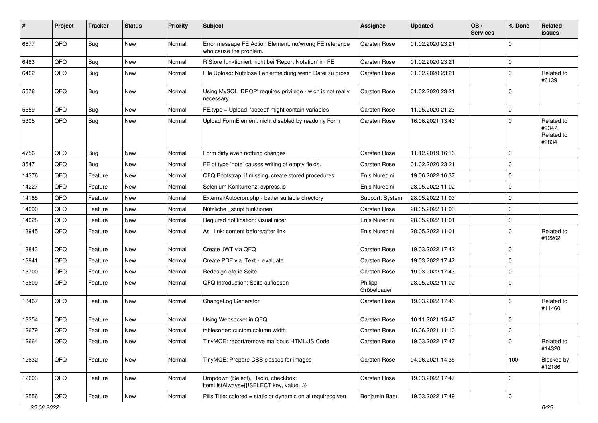| #     | Project        | <b>Tracker</b> | <b>Status</b> | <b>Priority</b> | <b>Subject</b>                                                                   | <b>Assignee</b>        | <b>Updated</b>   | OS/<br><b>Services</b> | % Done      | Related<br>issues                           |
|-------|----------------|----------------|---------------|-----------------|----------------------------------------------------------------------------------|------------------------|------------------|------------------------|-------------|---------------------------------------------|
| 6677  | QFQ            | Bug            | New           | Normal          | Error message FE Action Element: no/wrong FE reference<br>who cause the problem. | Carsten Rose           | 01.02.2020 23:21 |                        | $\Omega$    |                                             |
| 6483  | QFQ            | Bug            | <b>New</b>    | Normal          | R Store funktioniert nicht bei 'Report Notation' im FE                           | Carsten Rose           | 01.02.2020 23:21 |                        | $\Omega$    |                                             |
| 6462  | QFQ            | Bug            | <b>New</b>    | Normal          | File Upload: Nutzlose Fehlermeldung wenn Datei zu gross                          | Carsten Rose           | 01.02.2020 23:21 |                        | $\Omega$    | Related to<br>#6139                         |
| 5576  | QFQ            | Bug            | <b>New</b>    | Normal          | Using MySQL 'DROP' requires privilege - wich is not really<br>necessary.         | Carsten Rose           | 01.02.2020 23:21 |                        | $\Omega$    |                                             |
| 5559  | QFQ            | Bug            | <b>New</b>    | Normal          | FE.type = Upload: 'accept' might contain variables                               | Carsten Rose           | 11.05.2020 21:23 |                        | $\Omega$    |                                             |
| 5305  | QFQ            | Bug            | <b>New</b>    | Normal          | Upload FormElement: nicht disabled by readonly Form                              | <b>Carsten Rose</b>    | 16.06.2021 13:43 |                        | $\Omega$    | Related to<br>#9347,<br>Related to<br>#9834 |
| 4756  | QFQ            | Bug            | <b>New</b>    | Normal          | Form dirty even nothing changes                                                  | Carsten Rose           | 11.12.2019 16:16 |                        | $\Omega$    |                                             |
| 3547  | QFQ            | <b>Bug</b>     | <b>New</b>    | Normal          | FE of type 'note' causes writing of empty fields.                                | Carsten Rose           | 01.02.2020 23:21 |                        | $\Omega$    |                                             |
| 14376 | QFQ            | Feature        | <b>New</b>    | Normal          | QFQ Bootstrap: if missing, create stored procedures                              | Enis Nuredini          | 19.06.2022 16:37 |                        | $\Omega$    |                                             |
| 14227 | QFQ            | Feature        | <b>New</b>    | Normal          | Selenium Konkurrenz: cypress.io                                                  | Enis Nuredini          | 28.05.2022 11:02 |                        | $\Omega$    |                                             |
| 14185 | QFQ            | Feature        | <b>New</b>    | Normal          | External/Autocron.php - better suitable directory                                | Support: System        | 28.05.2022 11:03 |                        | $\Omega$    |                                             |
| 14090 | QFQ            | Feature        | New           | Normal          | Nützliche _script funktionen                                                     | Carsten Rose           | 28.05.2022 11:03 |                        | 0           |                                             |
| 14028 | QFQ            | Feature        | <b>New</b>    | Normal          | Required notification: visual nicer                                              | Enis Nuredini          | 28.05.2022 11:01 |                        | $\Omega$    |                                             |
| 13945 | QFQ            | Feature        | <b>New</b>    | Normal          | As _link: content before/after link                                              | Enis Nuredini          | 28.05.2022 11:01 |                        | $\Omega$    | Related to<br>#12262                        |
| 13843 | QFQ            | Feature        | New           | Normal          | Create JWT via QFQ                                                               | Carsten Rose           | 19.03.2022 17:42 |                        | $\Omega$    |                                             |
| 13841 | QFQ            | Feature        | <b>New</b>    | Normal          | Create PDF via iText - evaluate                                                  | Carsten Rose           | 19.03.2022 17:42 |                        | $\Omega$    |                                             |
| 13700 | QFQ            | Feature        | <b>New</b>    | Normal          | Redesign qfq.io Seite                                                            | Carsten Rose           | 19.03.2022 17:43 |                        | $\Omega$    |                                             |
| 13609 | QFQ            | Feature        | <b>New</b>    | Normal          | QFQ Introduction: Seite aufloesen                                                | Philipp<br>Gröbelbauer | 28.05.2022 11:02 |                        | $\Omega$    |                                             |
| 13467 | QFQ            | Feature        | <b>New</b>    | Normal          | ChangeLog Generator                                                              | Carsten Rose           | 19.03.2022 17:46 |                        | $\mathbf 0$ | Related to<br>#11460                        |
| 13354 | QFQ            | Feature        | <b>New</b>    | Normal          | Using Websocket in QFQ                                                           | Carsten Rose           | 10.11.2021 15:47 |                        | $\mathbf 0$ |                                             |
| 12679 | QFQ            | Feature        | <b>New</b>    | Normal          | tablesorter: custom column width                                                 | Carsten Rose           | 16.06.2021 11:10 |                        | $\Omega$    |                                             |
| 12664 | $\mathsf{QFQ}$ | Feature        | New           | Normal          | TinyMCE: report/remove malicous HTML/JS Code                                     | Carsten Rose           | 19.03.2022 17:47 |                        | 0           | Related to<br>#14320                        |
| 12632 | QFQ            | Feature        | New           | Normal          | TinyMCE: Prepare CSS classes for images                                          | Carsten Rose           | 04.06.2021 14:35 |                        | 100         | Blocked by<br>#12186                        |
| 12603 | QFQ            | Feature        | New           | Normal          | Dropdown (Select), Radio, checkbox:<br>itemListAlways={{!SELECT key, value}}     | Carsten Rose           | 19.03.2022 17:47 |                        | $\Omega$    |                                             |
| 12556 | QFQ            | Feature        | New           | Normal          | Pills Title: colored = static or dynamic on allrequiredgiven                     | Benjamin Baer          | 19.03.2022 17:49 |                        | $\pmb{0}$   |                                             |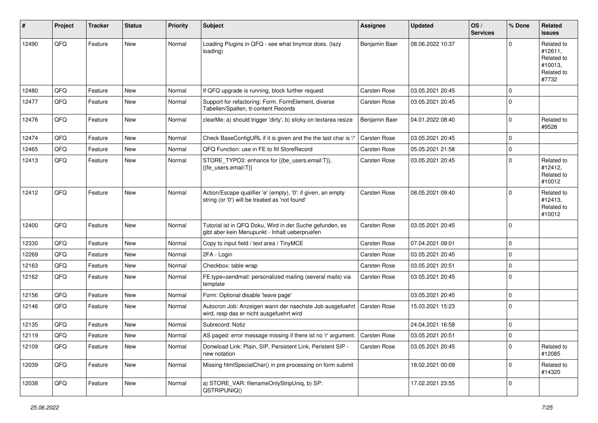| #     | Project | <b>Tracker</b> | <b>Status</b> | <b>Priority</b> | <b>Subject</b>                                                                                                 | <b>Assignee</b>     | <b>Updated</b>   | OS/<br><b>Services</b> | % Done      | Related<br><b>issues</b>                                              |
|-------|---------|----------------|---------------|-----------------|----------------------------------------------------------------------------------------------------------------|---------------------|------------------|------------------------|-------------|-----------------------------------------------------------------------|
| 12490 | QFQ     | Feature        | <b>New</b>    | Normal          | Loading Plugins in QFQ - see what tinymce does. (lazy<br>loading)                                              | Benjamin Baer       | 08.06.2022 10:37 |                        | $\Omega$    | Related to<br>#12611,<br>Related to<br>#10013,<br>Related to<br>#7732 |
| 12480 | QFQ     | Feature        | <b>New</b>    | Normal          | If QFQ upgrade is running, block further request                                                               | Carsten Rose        | 03.05.2021 20:45 |                        | $\Omega$    |                                                                       |
| 12477 | QFQ     | Feature        | <b>New</b>    | Normal          | Support for refactoring: Form, FormElement, diverse<br>Tabellen/Spalten, tt-content Records                    | Carsten Rose        | 03.05.2021 20:45 |                        | $\Omega$    |                                                                       |
| 12476 | QFQ     | Feature        | <b>New</b>    | Normal          | clearMe: a) should trigger 'dirty', b) sticky on textarea resize                                               | Benjamin Baer       | 04.01.2022 08:40 |                        | $\Omega$    | Related to<br>#9528                                                   |
| 12474 | QFQ     | Feature        | <b>New</b>    | Normal          | Check BaseConfigURL if it is given and the the last char is '/'                                                | Carsten Rose        | 03.05.2021 20:45 |                        | $\Omega$    |                                                                       |
| 12465 | QFQ     | Feature        | <b>New</b>    | Normal          | QFQ Function: use in FE to fill StoreRecord                                                                    | Carsten Rose        | 05.05.2021 21:58 |                        | $\mathbf 0$ |                                                                       |
| 12413 | QFQ     | Feature        | New           | Normal          | STORE_TYPO3: enhance for {{be_users.email:T}},<br>{{fe_users.email:T}}                                         | Carsten Rose        | 03.05.2021 20:45 |                        | $\Omega$    | Related to<br>#12412,<br>Related to<br>#10012                         |
| 12412 | QFQ     | Feature        | <b>New</b>    | Normal          | Action/Escape qualifier 'e' (empty), '0': if given, an empty<br>string (or '0') will be treated as 'not found' | Carsten Rose        | 08.05.2021 09:40 |                        | $\Omega$    | Related to<br>#12413,<br>Related to<br>#10012                         |
| 12400 | QFQ     | Feature        | <b>New</b>    | Normal          | Tutorial ist in QFQ Doku, Wird in der Suche gefunden, es<br>gibt aber kein Menupunkt - Inhalt ueberpruefen     | Carsten Rose        | 03.05.2021 20:45 |                        | $\Omega$    |                                                                       |
| 12330 | QFQ     | Feature        | New           | Normal          | Copy to input field / text area / TinyMCE                                                                      | Carsten Rose        | 07.04.2021 09:01 |                        | $\mathbf 0$ |                                                                       |
| 12269 | QFQ     | Feature        | New           | Normal          | 2FA - Login                                                                                                    | Carsten Rose        | 03.05.2021 20:45 |                        | $\Omega$    |                                                                       |
| 12163 | QFQ     | Feature        | <b>New</b>    | Normal          | Checkbox: table wrap                                                                                           | Carsten Rose        | 03.05.2021 20:51 |                        | $\Omega$    |                                                                       |
| 12162 | QFQ     | Feature        | New           | Normal          | FE.type=sendmail: personalized mailing (several mails) via<br>template                                         | Carsten Rose        | 03.05.2021 20:45 |                        | $\Omega$    |                                                                       |
| 12156 | QFQ     | Feature        | New           | Normal          | Form: Optional disable 'leave page'                                                                            |                     | 03.05.2021 20:45 |                        | $\Omega$    |                                                                       |
| 12146 | QFQ     | Feature        | <b>New</b>    | Normal          | Autocron Job: Anzeigen wann der naechste Job ausgefuehrt<br>wird, resp das er nicht ausgefuehrt wird           | Carsten Rose        | 15.03.2021 15:23 |                        | $\Omega$    |                                                                       |
| 12135 | QFQ     | Feature        | New           | Normal          | Subrecord: Notiz                                                                                               |                     | 24.04.2021 16:58 |                        | 0           |                                                                       |
| 12119 | QFQ     | Feature        | New           | Normal          | AS paged: error message missing if there ist no 'r' argument.   Carsten Rose                                   |                     | 03.05.2021 20:51 |                        | $\mathbf 0$ |                                                                       |
| 12109 | QFQ     | Feature        | <b>New</b>    | Normal          | Donwload Link: Plain, SIP, Persistent Link, Peristent SIP -<br>new notation                                    | <b>Carsten Rose</b> | 03.05.2021 20:45 |                        | $\mathbf 0$ | Related to<br>#12085                                                  |
| 12039 | QFQ     | Feature        | New           | Normal          | Missing htmlSpecialChar() in pre processing on form submit                                                     |                     | 18.02.2021 00:09 |                        | 0           | Related to<br>#14320                                                  |
| 12038 | QFQ     | Feature        | New           | Normal          | a) STORE VAR: filenameOnlyStripUniq, b) SP:<br>QSTRIPUNIQ()                                                    |                     | 17.02.2021 23:55 |                        | 0           |                                                                       |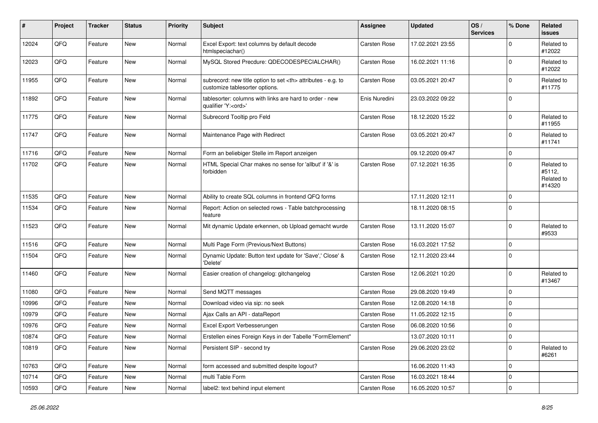| ∦     | Project | <b>Tracker</b> | <b>Status</b> | <b>Priority</b> | <b>Subject</b>                                                                                       | <b>Assignee</b>                                        | <b>Updated</b>   | OS/<br><b>Services</b> | % Done      | <b>Related</b><br>issues                     |                      |
|-------|---------|----------------|---------------|-----------------|------------------------------------------------------------------------------------------------------|--------------------------------------------------------|------------------|------------------------|-------------|----------------------------------------------|----------------------|
| 12024 | QFQ     | Feature        | New           | Normal          | Excel Export: text columns by default decode<br>htmlspeciachar()                                     | Carsten Rose                                           | 17.02.2021 23:55 |                        | $\Omega$    | Related to<br>#12022                         |                      |
| 12023 | QFQ     | Feature        | New           | Normal          | MySQL Stored Precdure: QDECODESPECIALCHAR()                                                          | Carsten Rose                                           | 16.02.2021 11:16 |                        | $\Omega$    | Related to<br>#12022                         |                      |
| 11955 | QFQ     | Feature        | <b>New</b>    | Normal          | subrecord: new title option to set <th> attributes - e.g. to<br/>customize tablesorter options.</th> | attributes - e.g. to<br>customize tablesorter options. | Carsten Rose     | 03.05.2021 20:47       |             | $\Omega$                                     | Related to<br>#11775 |
| 11892 | QFQ     | Feature        | New           | Normal          | tablesorter: columns with links are hard to order - new<br>qualifier 'Y: <ord>'</ord>                | Enis Nuredini                                          | 23.03.2022 09:22 |                        | $\Omega$    |                                              |                      |
| 11775 | QFQ     | Feature        | New           | Normal          | Subrecord Tooltip pro Feld                                                                           | Carsten Rose                                           | 18.12.2020 15:22 |                        | $\Omega$    | Related to<br>#11955                         |                      |
| 11747 | QFQ     | Feature        | New           | Normal          | Maintenance Page with Redirect                                                                       | Carsten Rose                                           | 03.05.2021 20:47 |                        | $\Omega$    | Related to<br>#11741                         |                      |
| 11716 | QFQ     | Feature        | New           | Normal          | Form an beliebiger Stelle im Report anzeigen                                                         |                                                        | 09.12.2020 09:47 |                        | $\Omega$    |                                              |                      |
| 11702 | QFQ     | Feature        | New           | Normal          | HTML Special Char makes no sense for 'allbut' if '&' is<br>forbidden                                 | Carsten Rose                                           | 07.12.2021 16:35 |                        | $\Omega$    | Related to<br>#5112,<br>Related to<br>#14320 |                      |
| 11535 | QFQ     | Feature        | New           | Normal          | Ability to create SQL columns in frontend QFQ forms                                                  |                                                        | 17.11.2020 12:11 |                        | $\Omega$    |                                              |                      |
| 11534 | QFQ     | Feature        | New           | Normal          | Report: Action on selected rows - Table batchprocessing<br>feature                                   |                                                        | 18.11.2020 08:15 |                        | $\Omega$    |                                              |                      |
| 11523 | QFQ     | Feature        | New           | Normal          | Mit dynamic Update erkennen, ob Upload gemacht wurde                                                 | Carsten Rose                                           | 13.11.2020 15:07 |                        | $\Omega$    | Related to<br>#9533                          |                      |
| 11516 | QFQ     | Feature        | <b>New</b>    | Normal          | Multi Page Form (Previous/Next Buttons)                                                              | Carsten Rose                                           | 16.03.2021 17:52 |                        | $\Omega$    |                                              |                      |
| 11504 | QFQ     | Feature        | New           | Normal          | Dynamic Update: Button text update for 'Save',' Close' &<br>'Delete'                                 | Carsten Rose                                           | 12.11.2020 23:44 |                        | $\Omega$    |                                              |                      |
| 11460 | QFQ     | Feature        | <b>New</b>    | Normal          | Easier creation of changelog: gitchangelog                                                           | Carsten Rose                                           | 12.06.2021 10:20 |                        | $\Omega$    | Related to<br>#13467                         |                      |
| 11080 | QFQ     | Feature        | New           | Normal          | Send MQTT messages                                                                                   | Carsten Rose                                           | 29.08.2020 19:49 |                        | $\Omega$    |                                              |                      |
| 10996 | QFQ     | Feature        | New           | Normal          | Download video via sip: no seek                                                                      | Carsten Rose                                           | 12.08.2020 14:18 |                        | $\Omega$    |                                              |                      |
| 10979 | QFQ     | Feature        | New           | Normal          | Ajax Calls an API - dataReport                                                                       | Carsten Rose                                           | 11.05.2022 12:15 |                        | $\Omega$    |                                              |                      |
| 10976 | QFQ     | Feature        | <b>New</b>    | Normal          | Excel Export Verbesserungen                                                                          | Carsten Rose                                           | 06.08.2020 10:56 |                        | $\Omega$    |                                              |                      |
| 10874 | QFQ     | Feature        | New           | Normal          | Erstellen eines Foreign Keys in der Tabelle "FormElement"                                            |                                                        | 13.07.2020 10:11 |                        | 0           |                                              |                      |
| 10819 | QFQ     | Feature        | New           | Normal          | Persistent SIP - second try                                                                          | Carsten Rose                                           | 29.06.2020 23:02 |                        | 0           | Related to<br>#6261                          |                      |
| 10763 | QFQ     | Feature        | New           | Normal          | form accessed and submitted despite logout?                                                          |                                                        | 16.06.2020 11:43 |                        | 0           |                                              |                      |
| 10714 | QFQ     | Feature        | New           | Normal          | multi Table Form                                                                                     | Carsten Rose                                           | 16.03.2021 18:44 |                        | $\mathbf 0$ |                                              |                      |
| 10593 | QFG     | Feature        | New           | Normal          | label2: text behind input element                                                                    | Carsten Rose                                           | 16.05.2020 10:57 |                        | 0           |                                              |                      |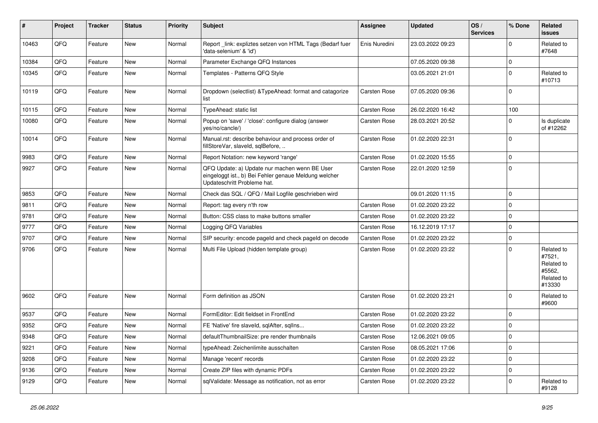| ∦     | Project | <b>Tracker</b> | <b>Status</b> | <b>Priority</b> | <b>Subject</b>                                                                                                                        | <b>Assignee</b> | <b>Updated</b>   | OS/<br><b>Services</b> | % Done      | <b>Related</b><br>issues                                             |
|-------|---------|----------------|---------------|-----------------|---------------------------------------------------------------------------------------------------------------------------------------|-----------------|------------------|------------------------|-------------|----------------------------------------------------------------------|
| 10463 | QFQ     | Feature        | New           | Normal          | Report link: expliztes setzen von HTML Tags (Bedarf fuer<br>'data-selenium' & 'id')                                                   | Enis Nuredini   | 23.03.2022 09:23 |                        | $\Omega$    | Related to<br>#7648                                                  |
| 10384 | QFQ     | Feature        | <b>New</b>    | Normal          | Parameter Exchange QFQ Instances                                                                                                      |                 | 07.05.2020 09:38 |                        | $\Omega$    |                                                                      |
| 10345 | QFQ     | Feature        | New           | Normal          | Templates - Patterns QFQ Style                                                                                                        |                 | 03.05.2021 21:01 |                        | $\Omega$    | Related to<br>#10713                                                 |
| 10119 | QFQ     | Feature        | New           | Normal          | Dropdown (selectlist) & TypeAhead: format and catagorize<br>list                                                                      | Carsten Rose    | 07.05.2020 09:36 |                        | $\Omega$    |                                                                      |
| 10115 | QFQ     | Feature        | New           | Normal          | TypeAhead: static list                                                                                                                | Carsten Rose    | 26.02.2020 16:42 |                        | 100         |                                                                      |
| 10080 | QFQ     | Feature        | <b>New</b>    | Normal          | Popup on 'save' / 'close': configure dialog (answer<br>yes/no/cancle/)                                                                | Carsten Rose    | 28.03.2021 20:52 |                        | $\Omega$    | Is duplicate<br>of #12262                                            |
| 10014 | QFQ     | Feature        | <b>New</b>    | Normal          | Manual.rst: describe behaviour and process order of<br>fillStoreVar, slaveId, sqlBefore,                                              | Carsten Rose    | 01.02.2020 22:31 |                        | $\Omega$    |                                                                      |
| 9983  | QFQ     | Feature        | <b>New</b>    | Normal          | Report Notation: new keyword 'range'                                                                                                  | Carsten Rose    | 01.02.2020 15:55 |                        | $\Omega$    |                                                                      |
| 9927  | QFQ     | Feature        | New           | Normal          | QFQ Update: a) Update nur machen wenn BE User<br>eingeloggt ist., b) Bei Fehler genaue Meldung welcher<br>Updateschritt Probleme hat. | Carsten Rose    | 22.01.2020 12:59 |                        | $\Omega$    |                                                                      |
| 9853  | QFQ     | Feature        | <b>New</b>    | Normal          | Check das SQL / QFQ / Mail Logfile geschrieben wird                                                                                   |                 | 09.01.2020 11:15 |                        | $\Omega$    |                                                                      |
| 9811  | QFQ     | Feature        | New           | Normal          | Report: tag every n'th row                                                                                                            | Carsten Rose    | 01.02.2020 23:22 |                        | $\Omega$    |                                                                      |
| 9781  | QFQ     | Feature        | New           | Normal          | Button: CSS class to make buttons smaller                                                                                             | Carsten Rose    | 01.02.2020 23:22 |                        | $\Omega$    |                                                                      |
| 9777  | QFQ     | Feature        | <b>New</b>    | Normal          | Logging QFQ Variables                                                                                                                 | Carsten Rose    | 16.12.2019 17:17 |                        | $\Omega$    |                                                                      |
| 9707  | QFQ     | Feature        | New           | Normal          | SIP security: encode pageld and check pageld on decode                                                                                | Carsten Rose    | 01.02.2020 23:22 |                        | $\Omega$    |                                                                      |
| 9706  | QFQ     | Feature        | New           | Normal          | Multi File Upload (hidden template group)                                                                                             | Carsten Rose    | 01.02.2020 23:22 |                        | $\Omega$    | Related to<br>#7521,<br>Related to<br>#5562,<br>Related to<br>#13330 |
| 9602  | QFQ     | Feature        | New           | Normal          | Form definition as JSON                                                                                                               | Carsten Rose    | 01.02.2020 23:21 |                        | $\Omega$    | Related to<br>#9600                                                  |
| 9537  | QFQ     | Feature        | New           | Normal          | FormEditor: Edit fieldset in FrontEnd                                                                                                 | Carsten Rose    | 01.02.2020 23:22 |                        | $\Omega$    |                                                                      |
| 9352  | QFQ     | Feature        | <b>New</b>    | Normal          | FE 'Native' fire slaveld, sqlAfter, sqlIns                                                                                            | Carsten Rose    | 01.02.2020 23:22 |                        | $\Omega$    |                                                                      |
| 9348  | QFQ     | Feature        | New           | Normal          | defaultThumbnailSize: pre render thumbnails                                                                                           | Carsten Rose    | 12.06.2021 09:05 |                        | 0           |                                                                      |
| 9221  | QFQ     | Feature        | New           | Normal          | typeAhead: Zeichenlimite ausschalten                                                                                                  | Carsten Rose    | 08.05.2021 17:06 |                        | 0           |                                                                      |
| 9208  | QFQ     | Feature        | New           | Normal          | Manage 'recent' records                                                                                                               | Carsten Rose    | 01.02.2020 23:22 |                        | $\mathbf 0$ |                                                                      |
| 9136  | QFQ     | Feature        | New           | Normal          | Create ZIP files with dynamic PDFs                                                                                                    | Carsten Rose    | 01.02.2020 23:22 |                        | $\mathbf 0$ |                                                                      |
| 9129  | QFQ     | Feature        | New           | Normal          | sqlValidate: Message as notification, not as error                                                                                    | Carsten Rose    | 01.02.2020 23:22 |                        | $\mathbf 0$ | Related to<br>#9128                                                  |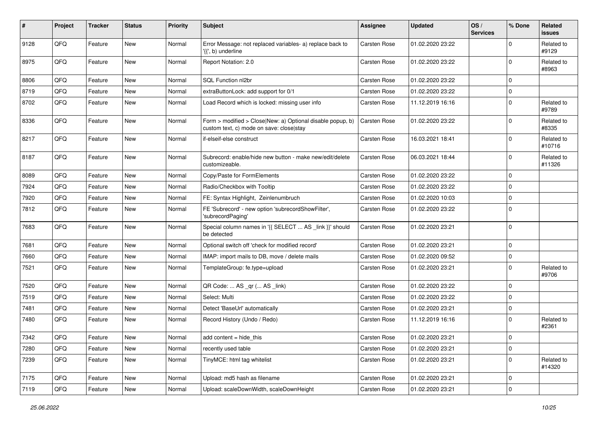| #    | Project | <b>Tracker</b> | <b>Status</b> | <b>Priority</b> | <b>Subject</b>                                                                                         | <b>Assignee</b> | <b>Updated</b>   | OS/<br><b>Services</b> | % Done      | Related<br>issues    |
|------|---------|----------------|---------------|-----------------|--------------------------------------------------------------------------------------------------------|-----------------|------------------|------------------------|-------------|----------------------|
| 9128 | QFQ     | Feature        | <b>New</b>    | Normal          | Error Message: not replaced variables- a) replace back to<br>'{{', b) underline                        | Carsten Rose    | 01.02.2020 23:22 |                        | $\Omega$    | Related to<br>#9129  |
| 8975 | QFQ     | Feature        | New           | Normal          | Report Notation: 2.0                                                                                   | Carsten Rose    | 01.02.2020 23:22 |                        | $\Omega$    | Related to<br>#8963  |
| 8806 | QFQ     | Feature        | <b>New</b>    | Normal          | SQL Function nl2br                                                                                     | Carsten Rose    | 01.02.2020 23:22 |                        | $\Omega$    |                      |
| 8719 | QFQ     | Feature        | New           | Normal          | extraButtonLock: add support for 0/1                                                                   | Carsten Rose    | 01.02.2020 23:22 |                        | $\Omega$    |                      |
| 8702 | QFQ     | Feature        | New           | Normal          | Load Record which is locked: missing user info                                                         | Carsten Rose    | 11.12.2019 16:16 |                        | $\mathbf 0$ | Related to<br>#9789  |
| 8336 | QFQ     | Feature        | New           | Normal          | Form > modified > Close New: a) Optional disable popup, b)<br>custom text, c) mode on save: close stay | Carsten Rose    | 01.02.2020 23:22 |                        | $\Omega$    | Related to<br>#8335  |
| 8217 | QFQ     | Feature        | New           | Normal          | if-elseif-else construct                                                                               | Carsten Rose    | 16.03.2021 18:41 |                        | $\Omega$    | Related to<br>#10716 |
| 8187 | QFQ     | Feature        | New           | Normal          | Subrecord: enable/hide new button - make new/edit/delete<br>customizeable.                             | Carsten Rose    | 06.03.2021 18:44 |                        | 0           | Related to<br>#11326 |
| 8089 | QFQ     | Feature        | <b>New</b>    | Normal          | Copy/Paste for FormElements                                                                            | Carsten Rose    | 01.02.2020 23:22 |                        | $\Omega$    |                      |
| 7924 | QFQ     | Feature        | New           | Normal          | Radio/Checkbox with Tooltip                                                                            | Carsten Rose    | 01.02.2020 23:22 |                        | $\Omega$    |                      |
| 7920 | QFQ     | Feature        | New           | Normal          | FE: Syntax Highlight, Zeinlenumbruch                                                                   | Carsten Rose    | 01.02.2020 10:03 |                        | $\mathbf 0$ |                      |
| 7812 | QFQ     | Feature        | New           | Normal          | FE 'Subrecord' - new option 'subrecordShowFilter',<br>'subrecordPaging'                                | Carsten Rose    | 01.02.2020 23:22 |                        | $\Omega$    |                      |
| 7683 | QFQ     | Feature        | <b>New</b>    | Normal          | Special column names in '{{ SELECT  AS _link }}' should<br>be detected                                 | Carsten Rose    | 01.02.2020 23:21 |                        | $\Omega$    |                      |
| 7681 | QFQ     | Feature        | New           | Normal          | Optional switch off 'check for modified record'                                                        | Carsten Rose    | 01.02.2020 23:21 |                        | $\Omega$    |                      |
| 7660 | QFQ     | Feature        | New           | Normal          | IMAP: import mails to DB, move / delete mails                                                          | Carsten Rose    | 01.02.2020 09:52 |                        | $\Omega$    |                      |
| 7521 | QFQ     | Feature        | New           | Normal          | TemplateGroup: fe.type=upload                                                                          | Carsten Rose    | 01.02.2020 23:21 |                        | $\Omega$    | Related to<br>#9706  |
| 7520 | QFQ     | Feature        | New           | Normal          | QR Code:  AS _qr ( AS _link)                                                                           | Carsten Rose    | 01.02.2020 23:22 |                        | $\Omega$    |                      |
| 7519 | QFQ     | Feature        | New           | Normal          | Select: Multi                                                                                          | Carsten Rose    | 01.02.2020 23:22 |                        | $\Omega$    |                      |
| 7481 | QFQ     | Feature        | New           | Normal          | Detect 'BaseUrl' automatically                                                                         | Carsten Rose    | 01.02.2020 23:21 |                        | $\mathbf 0$ |                      |
| 7480 | QFQ     | Feature        | New           | Normal          | Record History (Undo / Redo)                                                                           | Carsten Rose    | 11.12.2019 16:16 |                        | $\Omega$    | Related to<br>#2361  |
| 7342 | QFQ     | Feature        | New           | Normal          | add content = hide_this                                                                                | Carsten Rose    | 01.02.2020 23:21 |                        | 0           |                      |
| 7280 | QFQ     | Feature        | New           | Normal          | recently used table                                                                                    | Carsten Rose    | 01.02.2020 23:21 |                        | $\mathbf 0$ |                      |
| 7239 | QFQ     | Feature        | New           | Normal          | TinyMCE: html tag whitelist                                                                            | Carsten Rose    | 01.02.2020 23:21 |                        | 0           | Related to<br>#14320 |
| 7175 | QFQ     | Feature        | New           | Normal          | Upload: md5 hash as filename                                                                           | Carsten Rose    | 01.02.2020 23:21 |                        | 0           |                      |
| 7119 | QFQ     | Feature        | New           | Normal          | Upload: scaleDownWidth, scaleDownHeight                                                                | Carsten Rose    | 01.02.2020 23:21 |                        | 0           |                      |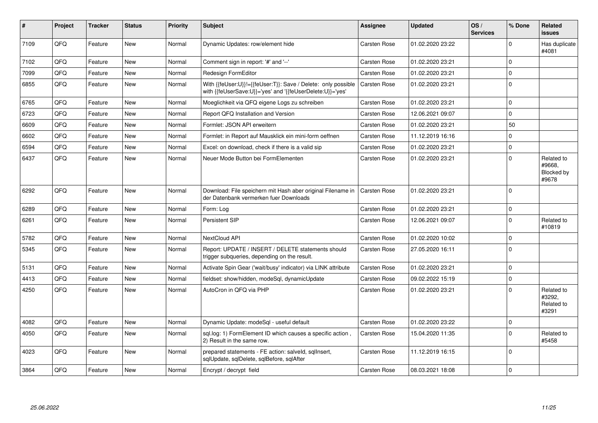| $\vert$ # | Project | <b>Tracker</b> | <b>Status</b> | <b>Priority</b> | <b>Subject</b>                                                                                                             | <b>Assignee</b>     | <b>Updated</b>   | OS/<br><b>Services</b> | % Done      | Related<br>issues                           |
|-----------|---------|----------------|---------------|-----------------|----------------------------------------------------------------------------------------------------------------------------|---------------------|------------------|------------------------|-------------|---------------------------------------------|
| 7109      | QFQ     | Feature        | <b>New</b>    | Normal          | Dynamic Updates: row/element hide                                                                                          | Carsten Rose        | 01.02.2020 23:22 |                        | $\Omega$    | Has duplicate<br>#4081                      |
| 7102      | QFQ     | Feature        | <b>New</b>    | Normal          | Comment sign in report: '#' and '--'                                                                                       | Carsten Rose        | 01.02.2020 23:21 |                        | $\Omega$    |                                             |
| 7099      | QFQ     | Feature        | <b>New</b>    | Normal          | Redesign FormEditor                                                                                                        | Carsten Rose        | 01.02.2020 23:21 |                        | $\Omega$    |                                             |
| 6855      | QFQ     | Feature        | <b>New</b>    | Normal          | With {{feUser:U}}!={{feUser:T}}: Save / Delete: only possible<br>with {{feUserSave:U}}='yes' and '{{feUserDelete:U}}='yes' | Carsten Rose        | 01.02.2020 23:21 |                        | $\Omega$    |                                             |
| 6765      | QFQ     | Feature        | <b>New</b>    | Normal          | Moeglichkeit via QFQ eigene Logs zu schreiben                                                                              | Carsten Rose        | 01.02.2020 23:21 |                        | $\Omega$    |                                             |
| 6723      | QFQ     | Feature        | <b>New</b>    | Normal          | Report QFQ Installation and Version                                                                                        | Carsten Rose        | 12.06.2021 09:07 |                        | $\Omega$    |                                             |
| 6609      | QFQ     | Feature        | <b>New</b>    | Normal          | Formlet: JSON API erweitern                                                                                                | Carsten Rose        | 01.02.2020 23:21 |                        | 50          |                                             |
| 6602      | QFQ     | Feature        | New           | Normal          | Formlet: in Report auf Mausklick ein mini-form oeffnen                                                                     | Carsten Rose        | 11.12.2019 16:16 |                        | $\mathbf 0$ |                                             |
| 6594      | QFQ     | Feature        | <b>New</b>    | Normal          | Excel: on download, check if there is a valid sip                                                                          | Carsten Rose        | 01.02.2020 23:21 |                        | $\Omega$    |                                             |
| 6437      | QFQ     | Feature        | <b>New</b>    | Normal          | Neuer Mode Button bei FormElementen                                                                                        | Carsten Rose        | 01.02.2020 23:21 |                        | $\Omega$    | Related to<br>#9668,<br>Blocked by<br>#9678 |
| 6292      | QFQ     | Feature        | New           | Normal          | Download: File speichern mit Hash aber original Filename in<br>der Datenbank vermerken fuer Downloads                      | Carsten Rose        | 01.02.2020 23:21 |                        | $\Omega$    |                                             |
| 6289      | QFQ     | Feature        | <b>New</b>    | Normal          | Form: Log                                                                                                                  | Carsten Rose        | 01.02.2020 23:21 |                        | $\Omega$    |                                             |
| 6261      | QFQ     | Feature        | <b>New</b>    | Normal          | Persistent SIP                                                                                                             | Carsten Rose        | 12.06.2021 09:07 |                        | $\Omega$    | Related to<br>#10819                        |
| 5782      | QFQ     | Feature        | <b>New</b>    | Normal          | <b>NextCloud API</b>                                                                                                       | <b>Carsten Rose</b> | 01.02.2020 10:02 |                        | $\Omega$    |                                             |
| 5345      | QFQ     | Feature        | New           | Normal          | Report: UPDATE / INSERT / DELETE statements should<br>trigger subqueries, depending on the result.                         | Carsten Rose        | 27.05.2020 16:11 |                        | $\Omega$    |                                             |
| 5131      | QFQ     | Feature        | <b>New</b>    | Normal          | Activate Spin Gear ('wait/busy' indicator) via LINK attribute                                                              | Carsten Rose        | 01.02.2020 23:21 |                        | $\Omega$    |                                             |
| 4413      | QFQ     | Feature        | New           | Normal          | fieldset: show/hidden, modeSql, dynamicUpdate                                                                              | Carsten Rose        | 09.02.2022 15:19 |                        | $\mathbf 0$ |                                             |
| 4250      | QFQ     | Feature        | <b>New</b>    | Normal          | AutoCron in QFQ via PHP                                                                                                    | Carsten Rose        | 01.02.2020 23:21 |                        | $\Omega$    | Related to<br>#3292,<br>Related to<br>#3291 |
| 4082      | QFQ     | Feature        | <b>New</b>    | Normal          | Dynamic Update: modeSql - useful default                                                                                   | <b>Carsten Rose</b> | 01.02.2020 23:22 |                        | $\Omega$    |                                             |
| 4050      | QFQ     | Feature        | <b>New</b>    | Normal          | sgl.log: 1) FormElement ID which causes a specific action,<br>2) Result in the same row.                                   | Carsten Rose        | 15.04.2020 11:35 |                        | $\Omega$    | Related to<br>#5458                         |
| 4023      | QFQ     | Feature        | <b>New</b>    | Normal          | prepared statements - FE action: salveld, sqllnsert,<br>sqlUpdate, sqlDelete, sqlBefore, sqlAfter                          | Carsten Rose        | 11.12.2019 16:15 |                        | $\Omega$    |                                             |
| 3864      | QFQ     | Feature        | New           | Normal          | Encrypt / decrypt field                                                                                                    | Carsten Rose        | 08.03.2021 18:08 |                        | $\Omega$    |                                             |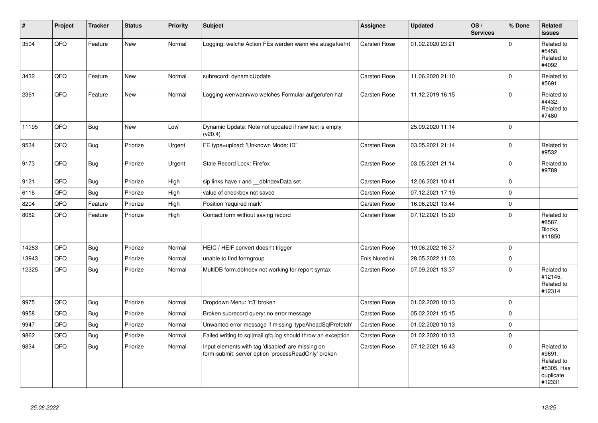| #     | Project | <b>Tracker</b> | <b>Status</b> | Priority | <b>Subject</b>                                                                                           | <b>Assignee</b> | <b>Updated</b>   | OS/<br><b>Services</b> | % Done      | Related<br><b>issues</b>                                                |
|-------|---------|----------------|---------------|----------|----------------------------------------------------------------------------------------------------------|-----------------|------------------|------------------------|-------------|-------------------------------------------------------------------------|
| 3504  | QFQ     | Feature        | New           | Normal   | Logging: welche Action FEs werden wann wie ausgefuehrt                                                   | Carsten Rose    | 01.02.2020 23:21 |                        | $\Omega$    | Related to<br>#5458,<br>Related to<br>#4092                             |
| 3432  | QFQ     | Feature        | New           | Normal   | subrecord: dynamicUpdate                                                                                 | Carsten Rose    | 11.06.2020 21:10 |                        | $\mathbf 0$ | Related to<br>#5691                                                     |
| 2361  | QFQ     | Feature        | New           | Normal   | Logging wer/wann/wo welches Formular aufgerufen hat                                                      | Carsten Rose    | 11.12.2019 16:15 |                        | $\Omega$    | Related to<br>#4432,<br>Related to<br>#7480                             |
| 11195 | QFQ     | Bug            | <b>New</b>    | Low      | Dynamic Update: Note not updated if new text is empty<br>(v20.4)                                         |                 | 25.09.2020 11:14 |                        | $\Omega$    |                                                                         |
| 9534  | QFQ     | Bug            | Priorize      | Urgent   | FE.type=upload: 'Unknown Mode: ID"                                                                       | Carsten Rose    | 03.05.2021 21:14 |                        | $\mathbf 0$ | Related to<br>#9532                                                     |
| 9173  | QFQ     | Bug            | Priorize      | Urgent   | Stale Record Lock: Firefox                                                                               | Carsten Rose    | 03.05.2021 21:14 |                        | $\Omega$    | Related to<br>#9789                                                     |
| 9121  | QFQ     | Bug            | Priorize      | High     | sip links have r and __dbIndexData set                                                                   | Carsten Rose    | 12.06.2021 10:41 |                        | $\Omega$    |                                                                         |
| 6116  | QFQ     | Bug            | Priorize      | High     | value of checkbox not saved                                                                              | Carsten Rose    | 07.12.2021 17:19 |                        | $\Omega$    |                                                                         |
| 8204  | QFO     | Feature        | Priorize      | High     | Position 'required mark'                                                                                 | Carsten Rose    | 16.06.2021 13:44 |                        | $\mathbf 0$ |                                                                         |
| 8082  | QFQ     | Feature        | Priorize      | High     | Contact form without saving record                                                                       | Carsten Rose    | 07.12.2021 15:20 |                        | $\Omega$    | Related to<br>#8587,<br><b>Blocks</b><br>#11850                         |
| 14283 | QFQ     | Bug            | Priorize      | Normal   | HEIC / HEIF convert doesn't trigger                                                                      | Carsten Rose    | 19.06.2022 16:37 |                        | $\Omega$    |                                                                         |
| 13943 | QFQ     | Bug            | Priorize      | Normal   | unable to find formgroup                                                                                 | Enis Nuredini   | 28.05.2022 11:03 |                        | $\Omega$    |                                                                         |
| 12325 | QFQ     | Bug            | Priorize      | Normal   | MultiDB form.dblndex not working for report syntax                                                       | Carsten Rose    | 07.09.2021 13:37 |                        | $\Omega$    | Related to<br>#12145,<br>Related to<br>#12314                           |
| 9975  | QFQ     | Bug            | Priorize      | Normal   | Dropdown Menu: 'r:3' broken                                                                              | Carsten Rose    | 01.02.2020 10:13 |                        | $\mathbf 0$ |                                                                         |
| 9958  | QFQ     | Bug            | Priorize      | Normal   | Broken subrecord query: no error message                                                                 | Carsten Rose    | 05.02.2021 15:15 |                        | $\Omega$    |                                                                         |
| 9947  | QFQ     | Bug            | Priorize      | Normal   | Unwanted error message if missing 'typeAheadSqlPrefetch'                                                 | Carsten Rose    | 01.02.2020 10:13 |                        | $\mathbf 0$ |                                                                         |
| 9862  | QFQ     | Bug            | Priorize      | Normal   | Failed writing to sql mail qfq.log should throw an exception                                             | Carsten Rose    | 01.02.2020 10:13 |                        | $\mathbf 0$ |                                                                         |
| 9834  | QFQ     | Bug            | Priorize      | Normal   | Input elements with tag 'disabled' are missing on<br>form-submit: server option 'processReadOnly' broken | Carsten Rose    | 07.12.2021 16:43 |                        | $\Omega$    | Related to<br>#9691,<br>Related to<br>#5305, Has<br>duplicate<br>#12331 |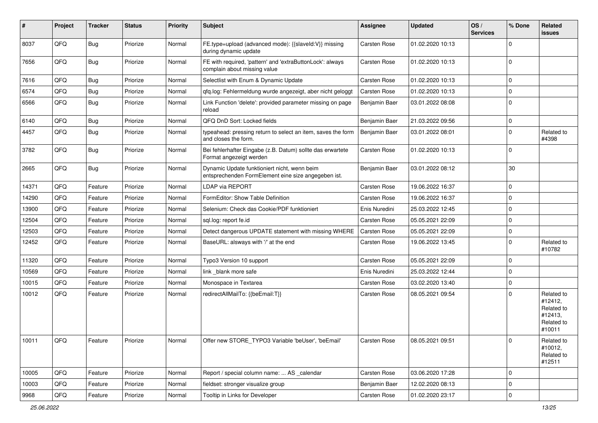| #     | Project    | <b>Tracker</b> | <b>Status</b> | <b>Priority</b> | Subject                                                                                             | <b>Assignee</b> | <b>Updated</b>   | OS/<br><b>Services</b> | % Done      | Related<br><b>issues</b>                                               |
|-------|------------|----------------|---------------|-----------------|-----------------------------------------------------------------------------------------------------|-----------------|------------------|------------------------|-------------|------------------------------------------------------------------------|
| 8037  | QFQ        | <b>Bug</b>     | Priorize      | Normal          | FE.type=upload (advanced mode): {{slaveld:V}} missing<br>during dynamic update                      | Carsten Rose    | 01.02.2020 10:13 |                        | $\mathbf 0$ |                                                                        |
| 7656  | QFQ        | <b>Bug</b>     | Priorize      | Normal          | FE with required, 'pattern' and 'extraButtonLock': always<br>complain about missing value           | Carsten Rose    | 01.02.2020 10:13 |                        | $\mathbf 0$ |                                                                        |
| 7616  | QFQ        | Bug            | Priorize      | Normal          | Selectlist with Enum & Dynamic Update                                                               | Carsten Rose    | 01.02.2020 10:13 |                        | $\mathbf 0$ |                                                                        |
| 6574  | QFQ        | <b>Bug</b>     | Priorize      | Normal          | qfq.log: Fehlermeldung wurde angezeigt, aber nicht geloggt                                          | Carsten Rose    | 01.02.2020 10:13 |                        | $\mathbf 0$ |                                                                        |
| 6566  | QFQ        | Bug            | Priorize      | Normal          | Link Function 'delete': provided parameter missing on page<br>reload                                | Benjamin Baer   | 03.01.2022 08:08 |                        | $\mathbf 0$ |                                                                        |
| 6140  | QFQ        | Bug            | Priorize      | Normal          | QFQ DnD Sort: Locked fields                                                                         | Benjamin Baer   | 21.03.2022 09:56 |                        | $\mathbf 0$ |                                                                        |
| 4457  | QFQ        | Bug            | Priorize      | Normal          | typeahead: pressing return to select an item, saves the form<br>and closes the form.                | Benjamin Baer   | 03.01.2022 08:01 |                        | $\mathbf 0$ | Related to<br>#4398                                                    |
| 3782  | QFQ        | <b>Bug</b>     | Priorize      | Normal          | Bei fehlerhafter Eingabe (z.B. Datum) sollte das erwartete<br>Format angezeigt werden               | Carsten Rose    | 01.02.2020 10:13 |                        | $\mathbf 0$ |                                                                        |
| 2665  | QFQ        | <b>Bug</b>     | Priorize      | Normal          | Dynamic Update funktioniert nicht, wenn beim<br>entsprechenden FormElement eine size angegeben ist. | Benjamin Baer   | 03.01.2022 08:12 |                        | 30          |                                                                        |
| 14371 | QFQ        | Feature        | Priorize      | Normal          | <b>LDAP via REPORT</b>                                                                              | Carsten Rose    | 19.06.2022 16:37 |                        | $\pmb{0}$   |                                                                        |
| 14290 | QFQ        | Feature        | Priorize      | Normal          | FormEditor: Show Table Definition                                                                   | Carsten Rose    | 19.06.2022 16:37 |                        | $\mathbf 0$ |                                                                        |
| 13900 | QFQ        | Feature        | Priorize      | Normal          | Selenium: Check das Cookie/PDF funktioniert                                                         | Enis Nuredini   | 25.03.2022 12:45 |                        | $\mathbf 0$ |                                                                        |
| 12504 | QFQ        | Feature        | Priorize      | Normal          | sql.log: report fe.id                                                                               | Carsten Rose    | 05.05.2021 22:09 |                        | $\mathbf 0$ |                                                                        |
| 12503 | QFQ        | Feature        | Priorize      | Normal          | Detect dangerous UPDATE statement with missing WHERE                                                | Carsten Rose    | 05.05.2021 22:09 |                        | $\mathbf 0$ |                                                                        |
| 12452 | QFQ        | Feature        | Priorize      | Normal          | BaseURL: alsways with '/' at the end                                                                | Carsten Rose    | 19.06.2022 13:45 |                        | $\mathbf 0$ | Related to<br>#10782                                                   |
| 11320 | QFQ        | Feature        | Priorize      | Normal          | Typo3 Version 10 support                                                                            | Carsten Rose    | 05.05.2021 22:09 |                        | $\mathbf 0$ |                                                                        |
| 10569 | QFQ        | Feature        | Priorize      | Normal          | link blank more safe                                                                                | Enis Nuredini   | 25.03.2022 12:44 |                        | $\mathbf 0$ |                                                                        |
| 10015 | QFQ        | Feature        | Priorize      | Normal          | Monospace in Textarea                                                                               | Carsten Rose    | 03.02.2020 13:40 |                        | $\mathbf 0$ |                                                                        |
| 10012 | QFQ        | Feature        | Priorize      | Normal          | redirectAllMailTo: {{beEmail:T}}                                                                    | Carsten Rose    | 08.05.2021 09:54 |                        | $\mathbf 0$ | Related to<br>#12412,<br>Related to<br>#12413,<br>Related to<br>#10011 |
| 10011 | <b>QFQ</b> | Feature        | Priorize      | Normal          | Offer new STORE_TYPO3 Variable 'beUser', 'beEmail'                                                  | Carsten Rose    | 08.05.2021 09:51 |                        | 0           | Related to<br>#10012,<br>Related to<br>#12511                          |
| 10005 | QFQ        | Feature        | Priorize      | Normal          | Report / special column name:  AS _calendar                                                         | Carsten Rose    | 03.06.2020 17:28 |                        | $\mathbf 0$ |                                                                        |
| 10003 | QFQ        | Feature        | Priorize      | Normal          | fieldset: stronger visualize group                                                                  | Benjamin Baer   | 12.02.2020 08:13 |                        | $\mathbf 0$ |                                                                        |
| 9968  | QFQ        | Feature        | Priorize      | Normal          | Tooltip in Links for Developer                                                                      | Carsten Rose    | 01.02.2020 23:17 |                        | $\pmb{0}$   |                                                                        |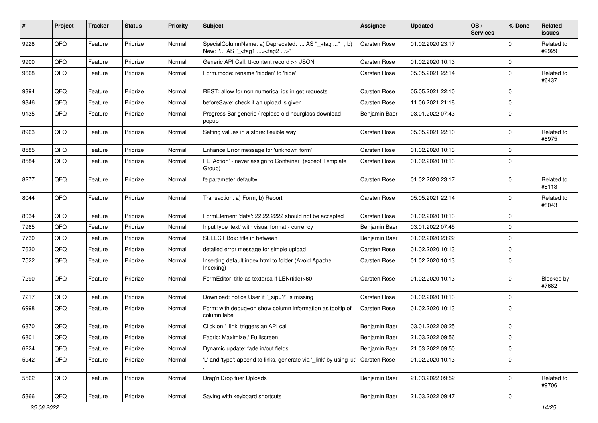| #    | <b>Project</b> | <b>Tracker</b> | <b>Status</b> | <b>Priority</b> | Subject                                                                                             | Assignee      | <b>Updated</b>   | OS/<br><b>Services</b> | % Done      | Related<br><b>issues</b> |
|------|----------------|----------------|---------------|-----------------|-----------------------------------------------------------------------------------------------------|---------------|------------------|------------------------|-------------|--------------------------|
| 9928 | QFQ            | Feature        | Priorize      | Normal          | SpecialColumnName: a) Deprecated: ' AS "_+tag " ', b)<br>New: ' AS "_ <tag1><tag2>" '</tag2></tag1> | Carsten Rose  | 01.02.2020 23:17 |                        | $\Omega$    | Related to<br>#9929      |
| 9900 | QFQ            | Feature        | Priorize      | Normal          | Generic API Call: tt-content record >> JSON                                                         | Carsten Rose  | 01.02.2020 10:13 |                        | $\mathbf 0$ |                          |
| 9668 | QFQ            | Feature        | Priorize      | Normal          | Form.mode: rename 'hidden' to 'hide'                                                                | Carsten Rose  | 05.05.2021 22:14 |                        | $\Omega$    | Related to<br>#6437      |
| 9394 | QFQ            | Feature        | Priorize      | Normal          | REST: allow for non numerical ids in get requests                                                   | Carsten Rose  | 05.05.2021 22:10 |                        | $\mathbf 0$ |                          |
| 9346 | QFQ            | Feature        | Priorize      | Normal          | beforeSave: check if an upload is given                                                             | Carsten Rose  | 11.06.2021 21:18 |                        | $\mathbf 0$ |                          |
| 9135 | QFQ            | Feature        | Priorize      | Normal          | Progress Bar generic / replace old hourglass download<br>popup                                      | Benjamin Baer | 03.01.2022 07:43 |                        | $\Omega$    |                          |
| 8963 | QFQ            | Feature        | Priorize      | Normal          | Setting values in a store: flexible way                                                             | Carsten Rose  | 05.05.2021 22:10 |                        | $\mathbf 0$ | Related to<br>#8975      |
| 8585 | QFQ            | Feature        | Priorize      | Normal          | Enhance Error message for 'unknown form'                                                            | Carsten Rose  | 01.02.2020 10:13 |                        | $\mathbf 0$ |                          |
| 8584 | QFQ            | Feature        | Priorize      | Normal          | FE 'Action' - never assign to Container (except Template<br>Group)                                  | Carsten Rose  | 01.02.2020 10:13 |                        | $\Omega$    |                          |
| 8277 | QFQ            | Feature        | Priorize      | Normal          | fe.parameter.default=                                                                               | Carsten Rose  | 01.02.2020 23:17 |                        | $\Omega$    | Related to<br>#8113      |
| 8044 | QFQ            | Feature        | Priorize      | Normal          | Transaction: a) Form, b) Report                                                                     | Carsten Rose  | 05.05.2021 22:14 |                        | $\Omega$    | Related to<br>#8043      |
| 8034 | QFQ            | Feature        | Priorize      | Normal          | FormElement 'data': 22.22.2222 should not be accepted                                               | Carsten Rose  | 01.02.2020 10:13 |                        | $\mathbf 0$ |                          |
| 7965 | QFQ            | Feature        | Priorize      | Normal          | Input type 'text' with visual format - currency                                                     | Benjamin Baer | 03.01.2022 07:45 |                        | $\mathbf 0$ |                          |
| 7730 | QFQ            | Feature        | Priorize      | Normal          | SELECT Box: title in between                                                                        | Benjamin Baer | 01.02.2020 23:22 |                        | $\mathbf 0$ |                          |
| 7630 | QFQ            | Feature        | Priorize      | Normal          | detailed error message for simple upload                                                            | Carsten Rose  | 01.02.2020 10:13 |                        | $\mathbf 0$ |                          |
| 7522 | QFQ            | Feature        | Priorize      | Normal          | Inserting default index.html to folder (Avoid Apache<br>Indexing)                                   | Carsten Rose  | 01.02.2020 10:13 |                        | $\Omega$    |                          |
| 7290 | QFQ            | Feature        | Priorize      | Normal          | FormEditor: title as textarea if LEN(title)>60                                                      | Carsten Rose  | 01.02.2020 10:13 |                        | $\mathbf 0$ | Blocked by<br>#7682      |
| 7217 | QFQ            | Feature        | Priorize      | Normal          | Download: notice User if `_sip=?` is missing                                                        | Carsten Rose  | 01.02.2020 10:13 |                        | $\mathbf 0$ |                          |
| 6998 | QFQ            | Feature        | Priorize      | Normal          | Form: with debug=on show column information as tooltip of<br>column label                           | Carsten Rose  | 01.02.2020 10:13 |                        | $\mathbf 0$ |                          |
| 6870 | QFQ            | Feature        | Priorize      | Normal          | Click on '_link' triggers an API call                                                               | Benjamin Baer | 03.01.2022 08:25 |                        | $\mathbf 0$ |                          |
| 6801 | QFQ            | Feature        | Priorize      | Normal          | Fabric: Maximize / FullIscreen                                                                      | Benjamin Baer | 21.03.2022 09:56 |                        | $\pmb{0}$   |                          |
| 6224 | QFQ            | Feature        | Priorize      | Normal          | Dynamic update: fade in/out fields                                                                  | Benjamin Baer | 21.03.2022 09:50 |                        | $\mathbf 0$ |                          |
| 5942 | QFQ            | Feature        | Priorize      | Normal          | 'L' and 'type': append to links, generate via '_link' by using 'u:'                                 | Carsten Rose  | 01.02.2020 10:13 |                        | $\mathbf 0$ |                          |
| 5562 | QFQ            | Feature        | Priorize      | Normal          | Drag'n'Drop fuer Uploads                                                                            | Benjamin Baer | 21.03.2022 09:52 |                        | $\mathbf 0$ | Related to<br>#9706      |
| 5366 | QFQ            | Feature        | Priorize      | Normal          | Saving with keyboard shortcuts                                                                      | Benjamin Baer | 21.03.2022 09:47 |                        | $\mathbf 0$ |                          |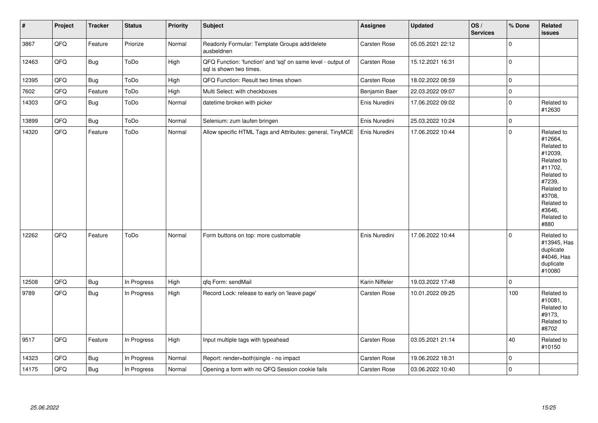| $\vert$ # | Project | <b>Tracker</b> | <b>Status</b> | <b>Priority</b> | Subject                                                                                 | Assignee       | <b>Updated</b>   | OS/<br><b>Services</b> | % Done       | Related<br>issues                                                                                                                                                     |
|-----------|---------|----------------|---------------|-----------------|-----------------------------------------------------------------------------------------|----------------|------------------|------------------------|--------------|-----------------------------------------------------------------------------------------------------------------------------------------------------------------------|
| 3867      | QFQ     | Feature        | Priorize      | Normal          | Readonly Formular: Template Groups add/delete<br>ausbeldnen                             | Carsten Rose   | 05.05.2021 22:12 |                        | $\mathbf{0}$ |                                                                                                                                                                       |
| 12463     | QFQ     | Bug            | ToDo          | High            | QFQ Function: 'function' and 'sql' on same level - output of<br>sal is shown two times. | Carsten Rose   | 15.12.2021 16:31 |                        | $\pmb{0}$    |                                                                                                                                                                       |
| 12395     | QFQ     | Bug            | ToDo          | High            | QFQ Function: Result two times shown                                                    | Carsten Rose   | 18.02.2022 08:59 |                        | $\pmb{0}$    |                                                                                                                                                                       |
| 7602      | QFQ     | Feature        | ToDo          | High            | Multi Select: with checkboxes                                                           | Benjamin Baer  | 22.03.2022 09:07 |                        | $\pmb{0}$    |                                                                                                                                                                       |
| 14303     | QFQ     | Bug            | ToDo          | Normal          | datetime broken with picker                                                             | Enis Nuredini  | 17.06.2022 09:02 |                        | $\pmb{0}$    | Related to<br>#12630                                                                                                                                                  |
| 13899     | QFQ     | Bug            | ToDo          | Normal          | Selenium: zum laufen bringen                                                            | Enis Nuredini  | 25.03.2022 10:24 |                        | $\pmb{0}$    |                                                                                                                                                                       |
| 14320     | QFQ     | Feature        | ToDo          | Normal          | Allow specific HTML Tags and Attributes: general, TinyMCE                               | Enis Nuredini  | 17.06.2022 10:44 |                        | $\mathbf{0}$ | Related to<br>#12664,<br>Related to<br>#12039,<br>Related to<br>#11702,<br>Related to<br>#7239,<br>Related to<br>#3708,<br>Related to<br>#3646.<br>Related to<br>#880 |
| 12262     | QFQ     | Feature        | ToDo          | Normal          | Form buttons on top: more customable                                                    | Enis Nuredini  | 17.06.2022 10:44 |                        | $\mathbf{0}$ | Related to<br>#13945, Has<br>duplicate<br>#4046, Has<br>duplicate<br>#10080                                                                                           |
| 12508     | QFQ     | Bug            | In Progress   | High            | qfq Form: sendMail                                                                      | Karin Niffeler | 19.03.2022 17:48 |                        | $\pmb{0}$    |                                                                                                                                                                       |
| 9789      | QFQ     | Bug            | In Progress   | High            | Record Lock: release to early on 'leave page'                                           | Carsten Rose   | 10.01.2022 09:25 |                        | 100          | Related to<br>#10081,<br>Related to<br>#9173,<br>Related to<br>#8702                                                                                                  |
| 9517      | QFQ     | Feature        | In Progress   | High            | Input multiple tags with typeahead                                                      | Carsten Rose   | 03.05.2021 21:14 |                        | 40           | Related to<br>#10150                                                                                                                                                  |
| 14323     | QFQ     | Bug            | In Progress   | Normal          | Report: render=both single - no impact                                                  | Carsten Rose   | 19.06.2022 18:31 |                        | 0            |                                                                                                                                                                       |
| 14175     | QFQ     | Bug            | In Progress   | Normal          | Opening a form with no QFQ Session cookie fails                                         | Carsten Rose   | 03.06.2022 10:40 |                        | $\pmb{0}$    |                                                                                                                                                                       |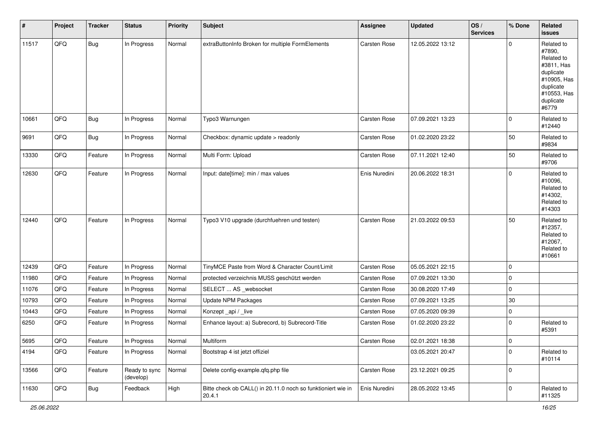| $\vert$ # | Project | <b>Tracker</b> | <b>Status</b>              | <b>Priority</b> | <b>Subject</b>                                                         | <b>Assignee</b> | <b>Updated</b>   | OS/<br><b>Services</b> | % Done      | Related<br>issues                                                                                                              |
|-----------|---------|----------------|----------------------------|-----------------|------------------------------------------------------------------------|-----------------|------------------|------------------------|-------------|--------------------------------------------------------------------------------------------------------------------------------|
| 11517     | QFQ     | <b>Bug</b>     | In Progress                | Normal          | extraButtonInfo Broken for multiple FormElements                       | Carsten Rose    | 12.05.2022 13:12 |                        | $\Omega$    | Related to<br>#7890,<br>Related to<br>#3811, Has<br>duplicate<br>#10905, Has<br>duplicate<br>#10553, Has<br>duplicate<br>#6779 |
| 10661     | QFQ     | <b>Bug</b>     | In Progress                | Normal          | Typo3 Warnungen                                                        | Carsten Rose    | 07.09.2021 13:23 |                        | $\mathbf 0$ | Related to<br>#12440                                                                                                           |
| 9691      | QFQ     | Bug            | In Progress                | Normal          | Checkbox: dynamic update > readonly                                    | Carsten Rose    | 01.02.2020 23:22 |                        | 50          | Related to<br>#9834                                                                                                            |
| 13330     | QFQ     | Feature        | In Progress                | Normal          | Multi Form: Upload                                                     | Carsten Rose    | 07.11.2021 12:40 |                        | 50          | Related to<br>#9706                                                                                                            |
| 12630     | QFQ     | Feature        | In Progress                | Normal          | Input: date[time]: min / max values                                    | Enis Nuredini   | 20.06.2022 18:31 |                        | 0           | Related to<br>#10096,<br>Related to<br>#14302,<br>Related to<br>#14303                                                         |
| 12440     | QFQ     | Feature        | In Progress                | Normal          | Typo3 V10 upgrade (durchfuehren und testen)                            | Carsten Rose    | 21.03.2022 09:53 |                        | 50          | Related to<br>#12357,<br>Related to<br>#12067,<br>Related to<br>#10661                                                         |
| 12439     | QFQ     | Feature        | In Progress                | Normal          | TinyMCE Paste from Word & Character Count/Limit                        | Carsten Rose    | 05.05.2021 22:15 |                        | $\mathbf 0$ |                                                                                                                                |
| 11980     | QFQ     | Feature        | In Progress                | Normal          | protected verzeichnis MUSS geschützt werden                            | Carsten Rose    | 07.09.2021 13:30 |                        | 0           |                                                                                                                                |
| 11076     | QFQ     | Feature        | In Progress                | Normal          | SELECT  AS _websocket                                                  | Carsten Rose    | 30.08.2020 17:49 |                        | 0           |                                                                                                                                |
| 10793     | QFQ     | Feature        | In Progress                | Normal          | <b>Update NPM Packages</b>                                             | Carsten Rose    | 07.09.2021 13:25 |                        | $30\,$      |                                                                                                                                |
| 10443     | QFQ     | Feature        | In Progress                | Normal          | Konzept_api / _live                                                    | Carsten Rose    | 07.05.2020 09:39 |                        | 0           |                                                                                                                                |
| 6250      | QFQ     | Feature        | In Progress                | Normal          | Enhance layout: a) Subrecord, b) Subrecord-Title                       | Carsten Rose    | 01.02.2020 23:22 |                        | $\mathbf 0$ | Related to<br>#5391                                                                                                            |
| 5695      | QFQ     | Feature        | In Progress                | Normal          | Multiform                                                              | Carsten Rose    | 02.01.2021 18:38 |                        | $\mathbf 0$ |                                                                                                                                |
| 4194      | QFQ     | Feature        | In Progress                | Normal          | Bootstrap 4 ist jetzt offiziel                                         |                 | 03.05.2021 20:47 |                        | 0           | Related to<br>#10114                                                                                                           |
| 13566     | QFO     | Feature        | Ready to sync<br>(develop) | Normal          | Delete config-example.qfq.php file                                     | Carsten Rose    | 23.12.2021 09:25 |                        | 0           |                                                                                                                                |
| 11630     | QFO     | <b>Bug</b>     | Feedback                   | High            | Bitte check ob CALL() in 20.11.0 noch so funktioniert wie in<br>20.4.1 | Enis Nuredini   | 28.05.2022 13:45 |                        | $\pmb{0}$   | Related to<br>#11325                                                                                                           |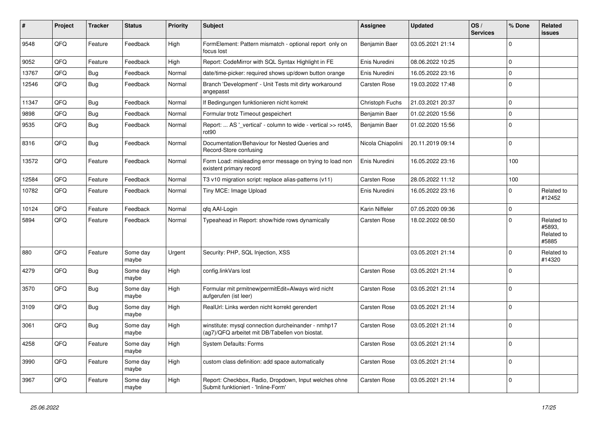| ∦     | Project | <b>Tracker</b> | <b>Status</b>     | <b>Priority</b> | Subject                                                                                                | Assignee          | <b>Updated</b>   | OS/<br><b>Services</b> | % Done      | <b>Related</b><br><b>issues</b>             |
|-------|---------|----------------|-------------------|-----------------|--------------------------------------------------------------------------------------------------------|-------------------|------------------|------------------------|-------------|---------------------------------------------|
| 9548  | QFQ     | Feature        | Feedback          | High            | FormElement: Pattern mismatch - optional report only on<br>focus lost                                  | Benjamin Baer     | 03.05.2021 21:14 |                        | $\Omega$    |                                             |
| 9052  | QFQ     | Feature        | Feedback          | High            | Report: CodeMirror with SQL Syntax Highlight in FE                                                     | Enis Nuredini     | 08.06.2022 10:25 |                        | $\Omega$    |                                             |
| 13767 | QFQ     | Bug            | Feedback          | Normal          | date/time-picker: required shows up/down button orange                                                 | Enis Nuredini     | 16.05.2022 23:16 |                        | $\Omega$    |                                             |
| 12546 | QFQ     | Bug            | Feedback          | Normal          | Branch 'Development' - Unit Tests mit dirty workaround<br>angepasst                                    | Carsten Rose      | 19.03.2022 17:48 |                        | $\Omega$    |                                             |
| 11347 | QFQ     | Bug            | Feedback          | Normal          | If Bedingungen funktionieren nicht korrekt                                                             | Christoph Fuchs   | 21.03.2021 20:37 |                        | $\mathbf 0$ |                                             |
| 9898  | QFQ     | Bug            | Feedback          | Normal          | Formular trotz Timeout gespeichert                                                                     | Benjamin Baer     | 01.02.2020 15:56 |                        | $\Omega$    |                                             |
| 9535  | QFQ     | <b>Bug</b>     | Feedback          | Normal          | Report:  AS '_vertical' - column to wide - vertical >> rot45,<br>rot90                                 | Benjamin Baer     | 01.02.2020 15:56 |                        | $\mathbf 0$ |                                             |
| 8316  | QFQ     | Bug            | Feedback          | Normal          | Documentation/Behaviour for Nested Queries and<br>Record-Store confusing                               | Nicola Chiapolini | 20.11.2019 09:14 |                        | $\mathbf 0$ |                                             |
| 13572 | QFQ     | Feature        | Feedback          | Normal          | Form Load: misleading error message on trying to load non<br>existent primary record                   | Enis Nuredini     | 16.05.2022 23:16 |                        | 100         |                                             |
| 12584 | QFQ     | Feature        | Feedback          | Normal          | T3 v10 migration script: replace alias-patterns (v11)                                                  | Carsten Rose      | 28.05.2022 11:12 |                        | 100         |                                             |
| 10782 | QFQ     | Feature        | Feedback          | Normal          | Tiny MCE: Image Upload                                                                                 | Enis Nuredini     | 16.05.2022 23:16 |                        | $\Omega$    | Related to<br>#12452                        |
| 10124 | QFQ     | Feature        | Feedback          | Normal          | gfg AAI-Login                                                                                          | Karin Niffeler    | 07.05.2020 09:36 |                        | $\mathbf 0$ |                                             |
| 5894  | QFQ     | Feature        | Feedback          | Normal          | Typeahead in Report: show/hide rows dynamically                                                        | Carsten Rose      | 18.02.2022 08:50 |                        | $\Omega$    | Related to<br>#5893.<br>Related to<br>#5885 |
| 880   | QFQ     | Feature        | Some day<br>maybe | Urgent          | Security: PHP, SQL Injection, XSS                                                                      |                   | 03.05.2021 21:14 |                        | $\mathbf 0$ | Related to<br>#14320                        |
| 4279  | QFQ     | <b>Bug</b>     | Some day<br>maybe | High            | config.linkVars lost                                                                                   | Carsten Rose      | 03.05.2021 21:14 |                        | $\mathbf 0$ |                                             |
| 3570  | QFQ     | <b>Bug</b>     | Some day<br>maybe | High            | Formular mit prmitnew permitEdit=Always wird nicht<br>aufgerufen (ist leer)                            | Carsten Rose      | 03.05.2021 21:14 |                        | $\mathbf 0$ |                                             |
| 3109  | QFQ     | <b>Bug</b>     | Some day<br>maybe | High            | RealUrl: Links werden nicht korrekt gerendert                                                          | Carsten Rose      | 03.05.2021 21:14 |                        | $\mathbf 0$ |                                             |
| 3061  | QFQ     | <b>Bug</b>     | Some day<br>maybe | High            | winstitute: mysql connection durcheinander - nmhp17<br>(ag7)/QFQ arbeitet mit DB/Tabellen von biostat. | Carsten Rose      | 03.05.2021 21:14 |                        | $\mathbf 0$ |                                             |
| 4258  | QFQ     | Feature        | Some day<br>maybe | High            | System Defaults: Forms                                                                                 | Carsten Rose      | 03.05.2021 21:14 |                        | $\mathbf 0$ |                                             |
| 3990  | QFQ     | Feature        | Some day<br>maybe | High            | custom class definition: add space automatically                                                       | Carsten Rose      | 03.05.2021 21:14 |                        | $\mathbf 0$ |                                             |
| 3967  | QFQ     | Feature        | Some day<br>maybe | High            | Report: Checkbox, Radio, Dropdown, Input welches ohne<br>Submit funktioniert - 'Inline-Form'           | Carsten Rose      | 03.05.2021 21:14 |                        | $\mathbf 0$ |                                             |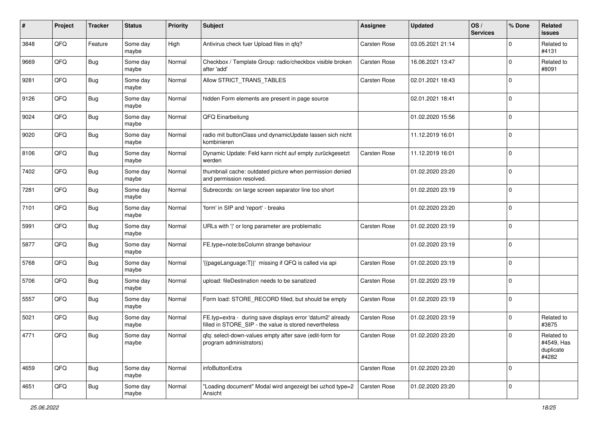| ∦    | Project | <b>Tracker</b> | <b>Status</b>     | <b>Priority</b> | Subject                                                                                                              | Assignee     | <b>Updated</b>   | OS/<br><b>Services</b> | % Done      | <b>Related</b><br><b>issues</b>                |
|------|---------|----------------|-------------------|-----------------|----------------------------------------------------------------------------------------------------------------------|--------------|------------------|------------------------|-------------|------------------------------------------------|
| 3848 | QFQ     | Feature        | Some day<br>maybe | High            | Antivirus check fuer Upload files in qfq?                                                                            | Carsten Rose | 03.05.2021 21:14 |                        | $\Omega$    | Related to<br>#4131                            |
| 9669 | QFQ     | Bug            | Some day<br>maybe | Normal          | Checkbox / Template Group: radio/checkbox visible broken<br>after 'add'                                              | Carsten Rose | 16.06.2021 13:47 |                        | $\mathbf 0$ | Related to<br>#8091                            |
| 9281 | QFQ     | <b>Bug</b>     | Some day<br>maybe | Normal          | Allow STRICT_TRANS_TABLES                                                                                            | Carsten Rose | 02.01.2021 18:43 |                        | $\Omega$    |                                                |
| 9126 | QFQ     | <b>Bug</b>     | Some day<br>maybe | Normal          | hidden Form elements are present in page source                                                                      |              | 02.01.2021 18:41 |                        | $\mathbf 0$ |                                                |
| 9024 | QFQ     | <b>Bug</b>     | Some day<br>maybe | Normal          | QFQ Einarbeitung                                                                                                     |              | 01.02.2020 15:56 |                        | $\mathbf 0$ |                                                |
| 9020 | QFQ     | <b>Bug</b>     | Some day<br>maybe | Normal          | radio mit buttonClass und dynamicUpdate lassen sich nicht<br>kombinieren                                             |              | 11.12.2019 16:01 |                        | $\Omega$    |                                                |
| 8106 | QFQ     | <b>Bug</b>     | Some day<br>maybe | Normal          | Dynamic Update: Feld kann nicht auf empty zurückgesetzt<br>werden                                                    | Carsten Rose | 11.12.2019 16:01 |                        | $\mathbf 0$ |                                                |
| 7402 | QFQ     | <b>Bug</b>     | Some day<br>maybe | Normal          | thumbnail cache: outdated picture when permission denied<br>and permission resolved.                                 |              | 01.02.2020 23:20 |                        | $\mathbf 0$ |                                                |
| 7281 | QFQ     | <b>Bug</b>     | Some day<br>maybe | Normal          | Subrecords: on large screen separator line too short                                                                 |              | 01.02.2020 23:19 |                        | $\mathbf 0$ |                                                |
| 7101 | QFQ     | Bug            | Some day<br>maybe | Normal          | 'form' in SIP and 'report' - breaks                                                                                  |              | 01.02.2020 23:20 |                        | $\mathbf 0$ |                                                |
| 5991 | QFQ     | <b>Bug</b>     | Some day<br>maybe | Normal          | URLs with ' ' or long parameter are problematic                                                                      | Carsten Rose | 01.02.2020 23:19 |                        | $\mathbf 0$ |                                                |
| 5877 | QFQ     | <b>Bug</b>     | Some day<br>maybe | Normal          | FE.type=note:bsColumn strange behaviour                                                                              |              | 01.02.2020 23:19 |                        | $\mathbf 0$ |                                                |
| 5768 | QFQ     | Bug            | Some day<br>maybe | Normal          | '{{pageLanguage:T}}' missing if QFQ is called via api                                                                | Carsten Rose | 01.02.2020 23:19 |                        | $\Omega$    |                                                |
| 5706 | QFQ     | <b>Bug</b>     | Some day<br>maybe | Normal          | upload: fileDestination needs to be sanatized                                                                        | Carsten Rose | 01.02.2020 23:19 |                        | $\mathbf 0$ |                                                |
| 5557 | QFQ     | <b>Bug</b>     | Some day<br>maybe | Normal          | Form load: STORE_RECORD filled, but should be empty                                                                  | Carsten Rose | 01.02.2020 23:19 |                        | $\mathbf 0$ |                                                |
| 5021 | QFQ     | Bug            | Some day<br>maybe | Normal          | FE.typ=extra - during save displays error 'datum2' already<br>filled in STORE SIP - the value is stored nevertheless | Carsten Rose | 01.02.2020 23:19 |                        | $\mathbf 0$ | Related to<br>#3875                            |
| 4771 | QFQ     | Bug            | Some day<br>maybe | Normal          | gfg: select-down-values empty after save (edit-form for<br>program administrators)                                   | Carsten Rose | 01.02.2020 23:20 |                        | $\Omega$    | Related to<br>#4549, Has<br>duplicate<br>#4282 |
| 4659 | QFQ     | <b>Bug</b>     | Some day<br>maybe | Normal          | infoButtonExtra                                                                                                      | Carsten Rose | 01.02.2020 23:20 |                        | $\mathbf 0$ |                                                |
| 4651 | QFQ     | <b>Bug</b>     | Some day<br>maybe | Normal          | "Loading document" Modal wird angezeigt bei uzhcd type=2<br>Ansicht                                                  | Carsten Rose | 01.02.2020 23:20 |                        | $\mathbf 0$ |                                                |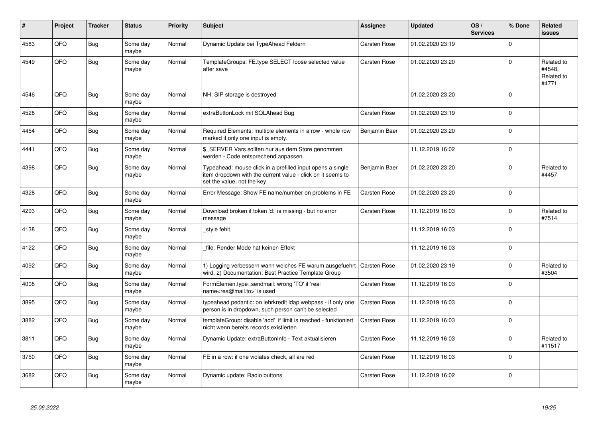| #    | Project | <b>Tracker</b> | <b>Status</b>     | <b>Priority</b> | <b>Subject</b>                                                                                                                                           | <b>Assignee</b>     | <b>Updated</b>   | OS/<br><b>Services</b> | % Done      | Related<br><b>issues</b>                    |
|------|---------|----------------|-------------------|-----------------|----------------------------------------------------------------------------------------------------------------------------------------------------------|---------------------|------------------|------------------------|-------------|---------------------------------------------|
| 4583 | QFQ     | <b>Bug</b>     | Some day<br>maybe | Normal          | Dynamic Update bei TypeAhead Feldern                                                                                                                     | <b>Carsten Rose</b> | 01.02.2020 23:19 |                        | $\mathbf 0$ |                                             |
| 4549 | QFQ     | Bug            | Some day<br>maybe | Normal          | TemplateGroups: FE.type SELECT loose selected value<br>after save                                                                                        | <b>Carsten Rose</b> | 01.02.2020 23:20 |                        | $\mathbf 0$ | Related to<br>#4548.<br>Related to<br>#4771 |
| 4546 | QFQ     | <b>Bug</b>     | Some day<br>maybe | Normal          | NH: SIP storage is destroyed                                                                                                                             |                     | 01.02.2020 23:20 |                        | $\Omega$    |                                             |
| 4528 | QFQ     | <b>Bug</b>     | Some day<br>maybe | Normal          | extraButtonLock mit SQLAhead Bug                                                                                                                         | <b>Carsten Rose</b> | 01.02.2020 23:19 |                        | $\Omega$    |                                             |
| 4454 | QFQ     | <b>Bug</b>     | Some day<br>maybe | Normal          | Required Elements: multiple elements in a row - whole row<br>marked if only one input is empty.                                                          | Benjamin Baer       | 01.02.2020 23:20 |                        | $\mathbf 0$ |                                             |
| 4441 | QFQ     | <b>Bug</b>     | Some day<br>maybe | Normal          | \$ SERVER Vars sollten nur aus dem Store genommen<br>werden - Code entsprechend anpassen.                                                                |                     | 11.12.2019 16:02 |                        | $\mathbf 0$ |                                             |
| 4398 | QFQ     | Bug            | Some day<br>maybe | Normal          | Typeahead: mouse click in a prefilled input opens a single<br>item dropdown with the current value - click on it seems to<br>set the value, not the key. | Benjamin Baer       | 01.02.2020 23:20 |                        | $\mathbf 0$ | Related to<br>#4457                         |
| 4328 | QFQ     | <b>Bug</b>     | Some day<br>maybe | Normal          | Error Message: Show FE name/number on problems in FE                                                                                                     | Carsten Rose        | 01.02.2020 23:20 |                        | $\mathbf 0$ |                                             |
| 4293 | QFQ     | <b>Bug</b>     | Some day<br>maybe | Normal          | Download broken if token 'd:' is missing - but no error<br>message                                                                                       | Carsten Rose        | 11.12.2019 16:03 |                        | $\mathbf 0$ | Related to<br>#7514                         |
| 4138 | QFQ     | <b>Bug</b>     | Some day<br>maybe | Normal          | style fehlt                                                                                                                                              |                     | 11.12.2019 16:03 |                        | $\mathbf 0$ |                                             |
| 4122 | QFQ     | Bug            | Some day<br>maybe | Normal          | file: Render Mode hat keinen Effekt                                                                                                                      |                     | 11.12.2019 16:03 |                        | $\mathbf 0$ |                                             |
| 4092 | QFQ     | Bug            | Some day<br>maybe | Normal          | 1) Logging verbessern wann welches FE warum ausgefuehrt   Carsten Rose<br>wird, 2) Documentation: Best Practice Template Group                           |                     | 01.02.2020 23:19 |                        | $\mathbf 0$ | Related to<br>#3504                         |
| 4008 | QFQ     | <b>Bug</b>     | Some day<br>maybe | Normal          | FormElemen.type=sendmail: wrong 'TO' if 'real<br>name <rea@mail.to>' is used</rea@mail.to>                                                               | <b>Carsten Rose</b> | 11.12.2019 16:03 |                        | $\mathbf 0$ |                                             |
| 3895 | QFQ     | Bug            | Some day<br>maybe | Normal          | typeahead pedantic: on lehrkredit Idap webpass - if only one<br>person is in dropdown, such person can't be selected                                     | Carsten Rose        | 11.12.2019 16:03 |                        | $\pmb{0}$   |                                             |
| 3882 | QFQ     | <b>Bug</b>     | Some day<br>maybe | Normal          | templateGroup: disable 'add' if limit is reached - funktioniert<br>nicht wenn bereits records existierten                                                | Carsten Rose        | 11.12.2019 16:03 |                        | $\mathbf 0$ |                                             |
| 3811 | QFQ     | <b>Bug</b>     | Some day<br>maybe | Normal          | Dynamic Update: extraButtonInfo - Text aktualisieren                                                                                                     | Carsten Rose        | 11.12.2019 16:03 |                        | $\mathbf 0$ | Related to<br>#11517                        |
| 3750 | QFQ     | <b>Bug</b>     | Some day<br>maybe | Normal          | FE in a row: if one violates check, all are red                                                                                                          | <b>Carsten Rose</b> | 11.12.2019 16:03 |                        | $\mathbf 0$ |                                             |
| 3682 | QFQ     | <b>Bug</b>     | Some day<br>maybe | Normal          | Dynamic update: Radio buttons                                                                                                                            | <b>Carsten Rose</b> | 11.12.2019 16:02 |                        | $\mathbf 0$ |                                             |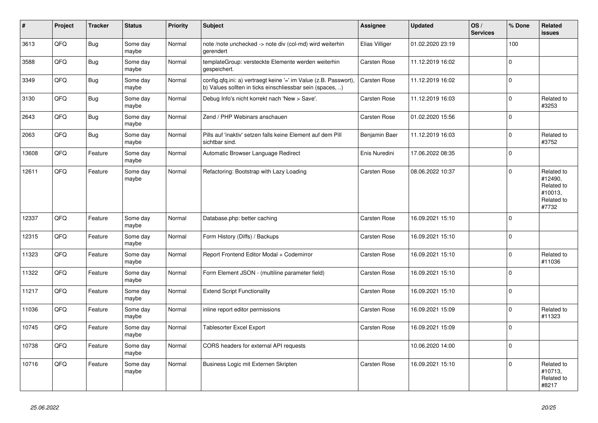| $\vert$ # | Project | <b>Tracker</b> | <b>Status</b>     | <b>Priority</b> | <b>Subject</b>                                                                                                                | <b>Assignee</b> | <b>Updated</b>   | OS/<br><b>Services</b> | % Done      | Related<br>issues                                                     |
|-----------|---------|----------------|-------------------|-----------------|-------------------------------------------------------------------------------------------------------------------------------|-----------------|------------------|------------------------|-------------|-----------------------------------------------------------------------|
| 3613      | QFQ     | Bug            | Some day<br>maybe | Normal          | note /note unchecked -> note div (col-md) wird weiterhin<br>gerendert                                                         | Elias Villiger  | 01.02.2020 23:19 |                        | 100         |                                                                       |
| 3588      | QFQ     | Bug            | Some day<br>maybe | Normal          | templateGroup: versteckte Elemente werden weiterhin<br>gespeichert.                                                           | Carsten Rose    | 11.12.2019 16:02 |                        | $\mathbf 0$ |                                                                       |
| 3349      | QFQ     | Bug            | Some day<br>maybe | Normal          | config.qfq.ini: a) vertraegt keine '=' im Value (z.B. Passwort),<br>b) Values sollten in ticks einschliessbar sein (spaces, ) | Carsten Rose    | 11.12.2019 16:02 |                        | $\Omega$    |                                                                       |
| 3130      | QFQ     | <b>Bug</b>     | Some day<br>maybe | Normal          | Debug Info's nicht korrekt nach 'New > Save'.                                                                                 | Carsten Rose    | 11.12.2019 16:03 |                        | $\Omega$    | Related to<br>#3253                                                   |
| 2643      | QFQ     | Bug            | Some day<br>maybe | Normal          | Zend / PHP Webinars anschauen                                                                                                 | Carsten Rose    | 01.02.2020 15:56 |                        | $\Omega$    |                                                                       |
| 2063      | QFQ     | Bug            | Some day<br>maybe | Normal          | Pills auf 'inaktiv' setzen falls keine Element auf dem Pill<br>sichtbar sind.                                                 | Benjamin Baer   | 11.12.2019 16:03 |                        | $\Omega$    | Related to<br>#3752                                                   |
| 13608     | QFQ     | Feature        | Some day<br>maybe | Normal          | Automatic Browser Language Redirect                                                                                           | Enis Nuredini   | 17.06.2022 08:35 |                        | $\Omega$    |                                                                       |
| 12611     | QFQ     | Feature        | Some day<br>maybe | Normal          | Refactoring: Bootstrap with Lazy Loading                                                                                      | Carsten Rose    | 08.06.2022 10:37 |                        | $\Omega$    | Related to<br>#12490,<br>Related to<br>#10013,<br>Related to<br>#7732 |
| 12337     | QFQ     | Feature        | Some day<br>maybe | Normal          | Database.php: better caching                                                                                                  | Carsten Rose    | 16.09.2021 15:10 |                        | $\Omega$    |                                                                       |
| 12315     | QFQ     | Feature        | Some day<br>maybe | Normal          | Form History (Diffs) / Backups                                                                                                | Carsten Rose    | 16.09.2021 15:10 |                        | $\Omega$    |                                                                       |
| 11323     | QFQ     | Feature        | Some day<br>maybe | Normal          | Report Frontend Editor Modal + Codemirror                                                                                     | Carsten Rose    | 16.09.2021 15:10 |                        | $\mathbf 0$ | Related to<br>#11036                                                  |
| 11322     | QFQ     | Feature        | Some day<br>maybe | Normal          | Form Element JSON - (multiline parameter field)                                                                               | Carsten Rose    | 16.09.2021 15:10 |                        | $\Omega$    |                                                                       |
| 11217     | QFQ     | Feature        | Some day<br>maybe | Normal          | <b>Extend Script Functionality</b>                                                                                            | Carsten Rose    | 16.09.2021 15:10 |                        | $\Omega$    |                                                                       |
| 11036     | QFQ     | Feature        | Some day<br>maybe | Normal          | inline report editor permissions                                                                                              | Carsten Rose    | 16.09.2021 15:09 |                        | $\mathbf 0$ | Related to<br>#11323                                                  |
| 10745     | QFQ     | Feature        | Some day<br>maybe | Normal          | Tablesorter Excel Export                                                                                                      | Carsten Rose    | 16.09.2021 15:09 |                        | $\Omega$    |                                                                       |
| 10738     | QFQ     | Feature        | Some day<br>maybe | Normal          | CORS headers for external API requests                                                                                        |                 | 10.06.2020 14:00 |                        | $\Omega$    |                                                                       |
| 10716     | QFQ     | Feature        | Some day<br>maybe | Normal          | Business Logic mit Externen Skripten                                                                                          | Carsten Rose    | 16.09.2021 15:10 |                        | $\Omega$    | Related to<br>#10713,<br>Related to<br>#8217                          |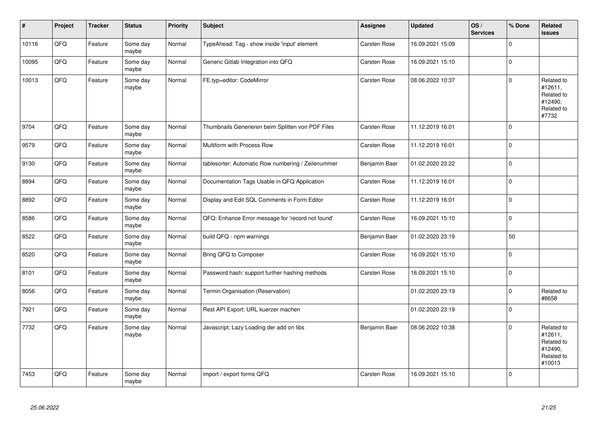| $\sharp$ | Project | <b>Tracker</b> | <b>Status</b>     | <b>Priority</b> | <b>Subject</b>                                     | <b>Assignee</b> | <b>Updated</b>   | OS/<br><b>Services</b> | % Done      | Related<br>issues                                                      |
|----------|---------|----------------|-------------------|-----------------|----------------------------------------------------|-----------------|------------------|------------------------|-------------|------------------------------------------------------------------------|
| 10116    | QFQ     | Feature        | Some day<br>maybe | Normal          | TypeAhead: Tag - show inside 'input' element       | Carsten Rose    | 16.09.2021 15:09 |                        | $\Omega$    |                                                                        |
| 10095    | QFQ     | Feature        | Some day<br>maybe | Normal          | Generic Gitlab Integration into QFQ                | Carsten Rose    | 16.09.2021 15:10 |                        | $\mathbf 0$ |                                                                        |
| 10013    | QFQ     | Feature        | Some day<br>maybe | Normal          | FE.typ=editor: CodeMirror                          | Carsten Rose    | 08.06.2022 10:37 |                        | $\Omega$    | Related to<br>#12611,<br>Related to<br>#12490,<br>Related to<br>#7732  |
| 9704     | QFQ     | Feature        | Some day<br>maybe | Normal          | Thumbnails Generieren beim Splitten von PDF Files  | Carsten Rose    | 11.12.2019 16:01 |                        | $\Omega$    |                                                                        |
| 9579     | QFQ     | Feature        | Some day<br>maybe | Normal          | Multiform with Process Row                         | Carsten Rose    | 11.12.2019 16:01 |                        | $\pmb{0}$   |                                                                        |
| 9130     | QFQ     | Feature        | Some day<br>maybe | Normal          | tablesorter: Automatic Row numbering / Zeilenummer | Benjamin Baer   | 01.02.2020 23:22 |                        | $\Omega$    |                                                                        |
| 8894     | QFQ     | Feature        | Some day<br>maybe | Normal          | Documentation Tags Usable in QFQ Application       | Carsten Rose    | 11.12.2019 16:01 |                        | $\mathbf 0$ |                                                                        |
| 8892     | QFQ     | Feature        | Some day<br>maybe | Normal          | Display and Edit SQL Comments in Form Editor       | Carsten Rose    | 11.12.2019 16:01 |                        | $\Omega$    |                                                                        |
| 8586     | QFQ     | Feature        | Some day<br>maybe | Normal          | QFQ: Enhance Error message for 'record not found'  | Carsten Rose    | 16.09.2021 15:10 |                        | 0           |                                                                        |
| 8522     | QFQ     | Feature        | Some day<br>maybe | Normal          | build QFQ - npm warnings                           | Benjamin Baer   | 01.02.2020 23:19 |                        | 50          |                                                                        |
| 8520     | QFQ     | Feature        | Some day<br>maybe | Normal          | Bring QFQ to Composer                              | Carsten Rose    | 16.09.2021 15:10 |                        | $\mathbf 0$ |                                                                        |
| 8101     | QFQ     | Feature        | Some day<br>maybe | Normal          | Password hash: support further hashing methods     | Carsten Rose    | 16.09.2021 15:10 |                        | 0           |                                                                        |
| 8056     | QFQ     | Feature        | Some day<br>maybe | Normal          | Termin Organisation (Reservation)                  |                 | 01.02.2020 23:19 |                        | $\mathbf 0$ | Related to<br>#8658                                                    |
| 7921     | QFQ     | Feature        | Some day<br>maybe | Normal          | Rest API Export: URL kuerzer machen                |                 | 01.02.2020 23:19 |                        | $\mathbf 0$ |                                                                        |
| 7732     | QFQ     | Feature        | Some day<br>maybe | Normal          | Javascript: Lazy Loading der add on libs           | Benjamin Baer   | 08.06.2022 10:38 |                        | $\Omega$    | Related to<br>#12611,<br>Related to<br>#12490,<br>Related to<br>#10013 |
| 7453     | QFQ     | Feature        | Some day<br>maybe | Normal          | import / export forms QFQ                          | Carsten Rose    | 16.09.2021 15:10 |                        | $\Omega$    |                                                                        |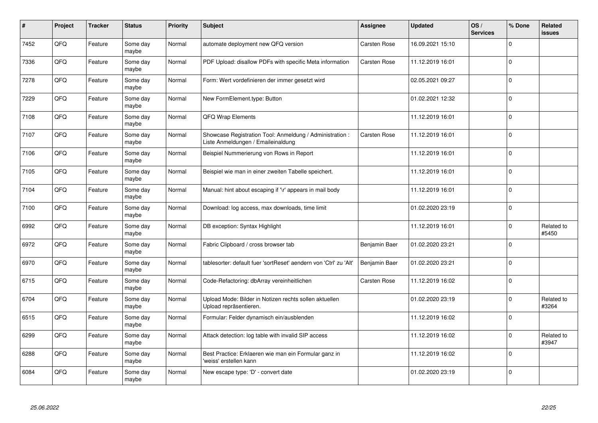| #    | Project | <b>Tracker</b> | <b>Status</b>     | <b>Priority</b> | <b>Subject</b>                                                                                 | <b>Assignee</b>     | <b>Updated</b>   | OS/<br><b>Services</b> | % Done       | <b>Related</b><br><b>issues</b> |
|------|---------|----------------|-------------------|-----------------|------------------------------------------------------------------------------------------------|---------------------|------------------|------------------------|--------------|---------------------------------|
| 7452 | QFQ     | Feature        | Some day<br>maybe | Normal          | automate deployment new QFQ version                                                            | <b>Carsten Rose</b> | 16.09.2021 15:10 |                        | $\Omega$     |                                 |
| 7336 | QFQ     | Feature        | Some dav<br>maybe | Normal          | PDF Upload: disallow PDFs with specific Meta information                                       | <b>Carsten Rose</b> | 11.12.2019 16:01 |                        | $\Omega$     |                                 |
| 7278 | QFQ     | Feature        | Some day<br>maybe | Normal          | Form: Wert vordefinieren der immer gesetzt wird                                                |                     | 02.05.2021 09:27 |                        | $\pmb{0}$    |                                 |
| 7229 | QFQ     | Feature        | Some day<br>maybe | Normal          | New FormElement.type: Button                                                                   |                     | 01.02.2021 12:32 |                        | $\Omega$     |                                 |
| 7108 | QFQ     | Feature        | Some day<br>maybe | Normal          | QFQ Wrap Elements                                                                              |                     | 11.12.2019 16:01 |                        | $\mathbf 0$  |                                 |
| 7107 | QFQ     | Feature        | Some day<br>maybe | Normal          | Showcase Registration Tool: Anmeldung / Administration :<br>Liste Anmeldungen / Emaileinaldung | <b>Carsten Rose</b> | 11.12.2019 16:01 |                        | $\mathbf 0$  |                                 |
| 7106 | QFQ     | Feature        | Some day<br>maybe | Normal          | Beispiel Nummerierung von Rows in Report                                                       |                     | 11.12.2019 16:01 |                        | $\mathbf{0}$ |                                 |
| 7105 | QFQ     | Feature        | Some day<br>maybe | Normal          | Beispiel wie man in einer zweiten Tabelle speichert.                                           |                     | 11.12.2019 16:01 |                        | $\Omega$     |                                 |
| 7104 | QFQ     | Feature        | Some day<br>maybe | Normal          | Manual: hint about escaping if '\r' appears in mail body                                       |                     | 11.12.2019 16:01 |                        | $\mathbf 0$  |                                 |
| 7100 | QFQ     | Feature        | Some dav<br>maybe | Normal          | Download: log access, max downloads, time limit                                                |                     | 01.02.2020 23:19 |                        | $\mathbf{0}$ |                                 |
| 6992 | QFQ     | Feature        | Some day<br>maybe | Normal          | DB exception: Syntax Highlight                                                                 |                     | 11.12.2019 16:01 |                        | $\mathbf 0$  | Related to<br>#5450             |
| 6972 | QFQ     | Feature        | Some day<br>maybe | Normal          | Fabric Clipboard / cross browser tab                                                           | Benjamin Baer       | 01.02.2020 23:21 |                        | $\Omega$     |                                 |
| 6970 | QFQ     | Feature        | Some day<br>maybe | Normal          | tablesorter: default fuer 'sortReset' aendern von 'Ctrl' zu 'Alt'                              | Benjamin Baer       | 01.02.2020 23:21 |                        | $\mathbf 0$  |                                 |
| 6715 | QFQ     | Feature        | Some day<br>maybe | Normal          | Code-Refactoring: dbArray vereinheitlichen                                                     | Carsten Rose        | 11.12.2019 16:02 |                        | $\mathbf 0$  |                                 |
| 6704 | QFQ     | Feature        | Some day<br>maybe | Normal          | Upload Mode: Bilder in Notizen rechts sollen aktuellen<br>Upload repräsentieren.               |                     | 01.02.2020 23:19 |                        | $\Omega$     | Related to<br>#3264             |
| 6515 | QFQ     | Feature        | Some day<br>maybe | Normal          | Formular: Felder dynamisch ein/ausblenden                                                      |                     | 11.12.2019 16:02 |                        | $\mathbf 0$  |                                 |
| 6299 | QFQ     | Feature        | Some day<br>maybe | Normal          | Attack detection: log table with invalid SIP access                                            |                     | 11.12.2019 16:02 |                        | $\mathbf{0}$ | Related to<br>#3947             |
| 6288 | QFQ     | Feature        | Some day<br>maybe | Normal          | Best Practice: Erklaeren wie man ein Formular ganz in<br>'weiss' erstellen kann                |                     | 11.12.2019 16:02 |                        | $\mathbf 0$  |                                 |
| 6084 | QFQ     | Feature        | Some day<br>maybe | Normal          | New escape type: 'D' - convert date                                                            |                     | 01.02.2020 23:19 |                        | $\Omega$     |                                 |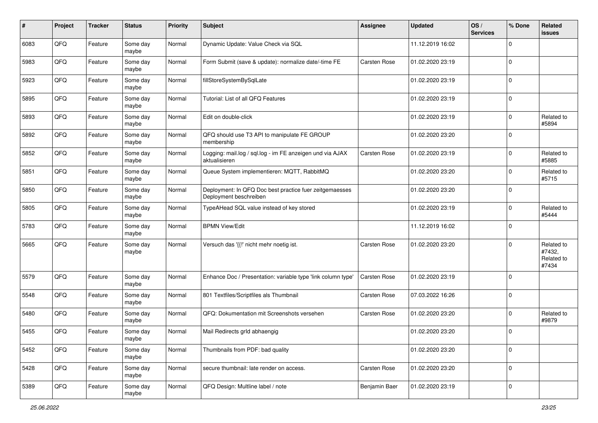| #    | Project | <b>Tracker</b> | <b>Status</b>     | <b>Priority</b> | <b>Subject</b>                                                                    | <b>Assignee</b> | <b>Updated</b>   | OS/<br><b>Services</b> | % Done      | Related<br><b>issues</b>                    |
|------|---------|----------------|-------------------|-----------------|-----------------------------------------------------------------------------------|-----------------|------------------|------------------------|-------------|---------------------------------------------|
| 6083 | QFQ     | Feature        | Some day<br>maybe | Normal          | Dynamic Update: Value Check via SQL                                               |                 | 11.12.2019 16:02 |                        | $\Omega$    |                                             |
| 5983 | QFQ     | Feature        | Some day<br>maybe | Normal          | Form Submit (save & update): normalize date/-time FE                              | Carsten Rose    | 01.02.2020 23:19 |                        | $\mathbf 0$ |                                             |
| 5923 | QFQ     | Feature        | Some day<br>maybe | Normal          | fillStoreSystemBySqlLate                                                          |                 | 01.02.2020 23:19 |                        | $\Omega$    |                                             |
| 5895 | QFQ     | Feature        | Some day<br>maybe | Normal          | Tutorial: List of all QFQ Features                                                |                 | 01.02.2020 23:19 |                        | $\mathbf 0$ |                                             |
| 5893 | QFQ     | Feature        | Some day<br>maybe | Normal          | Edit on double-click                                                              |                 | 01.02.2020 23:19 |                        | $\mathbf 0$ | Related to<br>#5894                         |
| 5892 | QFQ     | Feature        | Some day<br>maybe | Normal          | QFQ should use T3 API to manipulate FE GROUP<br>membership                        |                 | 01.02.2020 23:20 |                        | $\mathbf 0$ |                                             |
| 5852 | QFQ     | Feature        | Some day<br>maybe | Normal          | Logging: mail.log / sql.log - im FE anzeigen und via AJAX<br>aktualisieren        | Carsten Rose    | 01.02.2020 23:19 |                        | $\mathbf 0$ | Related to<br>#5885                         |
| 5851 | QFQ     | Feature        | Some day<br>maybe | Normal          | Queue System implementieren: MQTT, RabbitMQ                                       |                 | 01.02.2020 23:20 |                        | $\Omega$    | Related to<br>#5715                         |
| 5850 | QFQ     | Feature        | Some day<br>maybe | Normal          | Deployment: In QFQ Doc best practice fuer zeitgemaesses<br>Deployment beschreiben |                 | 01.02.2020 23:20 |                        | $\mathbf 0$ |                                             |
| 5805 | QFQ     | Feature        | Some day<br>maybe | Normal          | TypeAHead SQL value instead of key stored                                         |                 | 01.02.2020 23:19 |                        | $\mathbf 0$ | Related to<br>#5444                         |
| 5783 | QFQ     | Feature        | Some day<br>maybe | Normal          | <b>BPMN View/Edit</b>                                                             |                 | 11.12.2019 16:02 |                        | $\mathbf 0$ |                                             |
| 5665 | QFQ     | Feature        | Some day<br>maybe | Normal          | Versuch das '{{!' nicht mehr noetig ist.                                          | Carsten Rose    | 01.02.2020 23:20 |                        | $\mathbf 0$ | Related to<br>#7432,<br>Related to<br>#7434 |
| 5579 | QFQ     | Feature        | Some day<br>maybe | Normal          | Enhance Doc / Presentation: variable type 'link column type'                      | Carsten Rose    | 01.02.2020 23:19 |                        | $\Omega$    |                                             |
| 5548 | QFQ     | Feature        | Some day<br>maybe | Normal          | 801 Textfiles/Scriptfiles als Thumbnail                                           | Carsten Rose    | 07.03.2022 16:26 |                        | $\mathbf 0$ |                                             |
| 5480 | QFQ     | Feature        | Some day<br>maybe | Normal          | QFQ: Dokumentation mit Screenshots versehen                                       | Carsten Rose    | 01.02.2020 23:20 |                        | $\mathbf 0$ | Related to<br>#9879                         |
| 5455 | QFQ     | Feature        | Some day<br>maybe | Normal          | Mail Redirects grld abhaengig                                                     |                 | 01.02.2020 23:20 |                        | $\mathbf 0$ |                                             |
| 5452 | QFQ     | Feature        | Some day<br>maybe | Normal          | Thumbnails from PDF: bad quality                                                  |                 | 01.02.2020 23:20 |                        | $\mathbf 0$ |                                             |
| 5428 | QFQ     | Feature        | Some day<br>maybe | Normal          | secure thumbnail: late render on access.                                          | Carsten Rose    | 01.02.2020 23:20 |                        | $\mathbf 0$ |                                             |
| 5389 | QFQ     | Feature        | Some day<br>maybe | Normal          | QFQ Design: Multline label / note                                                 | Benjamin Baer   | 01.02.2020 23:19 |                        | $\pmb{0}$   |                                             |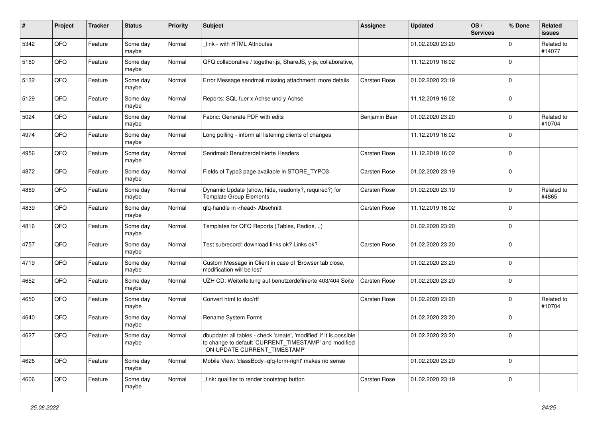| $\pmb{\#}$ | <b>Project</b> | <b>Tracker</b> | <b>Status</b>     | <b>Priority</b> | <b>Subject</b>                                                                                                                                                | <b>Assignee</b>     | <b>Updated</b>   | OS/<br><b>Services</b> | % Done       | Related<br><b>issues</b> |
|------------|----------------|----------------|-------------------|-----------------|---------------------------------------------------------------------------------------------------------------------------------------------------------------|---------------------|------------------|------------------------|--------------|--------------------------|
| 5342       | QFQ            | Feature        | Some day<br>maybe | Normal          | link - with HTML Attributes                                                                                                                                   |                     | 01.02.2020 23:20 |                        | $\Omega$     | Related to<br>#14077     |
| 5160       | QFQ            | Feature        | Some day<br>maybe | Normal          | QFQ collaborative / together.js, ShareJS, y-js, collaborative,                                                                                                |                     | 11.12.2019 16:02 |                        | $\mathbf 0$  |                          |
| 5132       | QFQ            | Feature        | Some day<br>maybe | Normal          | Error Message sendmail missing attachment: more details                                                                                                       | <b>Carsten Rose</b> | 01.02.2020 23:19 |                        | $\mathbf 0$  |                          |
| 5129       | QFQ            | Feature        | Some day<br>maybe | Normal          | Reports: SQL fuer x Achse und y Achse                                                                                                                         |                     | 11.12.2019 16:02 |                        | $\Omega$     |                          |
| 5024       | QFQ            | Feature        | Some day<br>maybe | Normal          | Fabric: Generate PDF with edits                                                                                                                               | Benjamin Baer       | 01.02.2020 23:20 |                        | $\mathbf 0$  | Related to<br>#10704     |
| 4974       | QFQ            | Feature        | Some day<br>maybe | Normal          | Long polling - inform all listening clients of changes                                                                                                        |                     | 11.12.2019 16:02 |                        | $\mathbf 0$  |                          |
| 4956       | QFQ            | Feature        | Some day<br>maybe | Normal          | Sendmail: Benutzerdefinierte Headers                                                                                                                          | Carsten Rose        | 11.12.2019 16:02 |                        | $\Omega$     |                          |
| 4872       | QFQ            | Feature        | Some day<br>maybe | Normal          | Fields of Typo3 page available in STORE_TYPO3                                                                                                                 | <b>Carsten Rose</b> | 01.02.2020 23:19 |                        | $\mathbf{0}$ |                          |
| 4869       | QFQ            | Feature        | Some day<br>maybe | Normal          | Dynamic Update (show, hide, readonly?, required?) for<br><b>Template Group Elements</b>                                                                       | Carsten Rose        | 01.02.2020 23:19 |                        | $\mathbf 0$  | Related to<br>#4865      |
| 4839       | QFQ            | Feature        | Some day<br>maybe | Normal          | qfq-handle in <head> Abschnitt</head>                                                                                                                         | <b>Carsten Rose</b> | 11.12.2019 16:02 |                        | $\mathbf 0$  |                          |
| 4816       | QFQ            | Feature        | Some day<br>maybe | Normal          | Templates for QFQ Reports (Tables, Radios, )                                                                                                                  |                     | 01.02.2020 23:20 |                        | $\mathbf 0$  |                          |
| 4757       | QFQ            | Feature        | Some day<br>maybe | Normal          | Test subrecord: download links ok? Links ok?                                                                                                                  | Carsten Rose        | 01.02.2020 23:20 |                        | $\mathbf 0$  |                          |
| 4719       | QFQ            | Feature        | Some day<br>maybe | Normal          | Custom Message in Client in case of 'Browser tab close,<br>modification will be lost'                                                                         |                     | 01.02.2020 23:20 |                        | $\mathbf{0}$ |                          |
| 4652       | QFQ            | Feature        | Some day<br>maybe | Normal          | UZH CD: Weiterleitung auf benutzerdefinierte 403/404 Seite                                                                                                    | <b>Carsten Rose</b> | 01.02.2020 23:20 |                        | $\Omega$     |                          |
| 4650       | QFQ            | Feature        | Some day<br>maybe | Normal          | Convert html to doc/rtf                                                                                                                                       | <b>Carsten Rose</b> | 01.02.2020 23:20 |                        | $\mathbf 0$  | Related to<br>#10704     |
| 4640       | QFQ            | Feature        | Some day<br>maybe | Normal          | Rename System Forms                                                                                                                                           |                     | 01.02.2020 23:20 |                        | $\mathbf 0$  |                          |
| 4627       | QFQ            | Feature        | Some day<br>maybe | Normal          | dbupdate: all tables - check 'create', 'modified' if it is possible<br>to change to default 'CURRENT_TIMESTAMP' and modified<br>'ON UPDATE CURRENT TIMESTAMP' |                     | 01.02.2020 23:20 |                        | $\mathbf 0$  |                          |
| 4626       | QFQ            | Feature        | Some day<br>maybe | Normal          | Mobile View: 'classBody=qfq-form-right' makes no sense                                                                                                        |                     | 01.02.2020 23:20 |                        | $\mathbf 0$  |                          |
| 4606       | QFQ            | Feature        | Some day<br>maybe | Normal          | link: qualifier to render bootstrap button                                                                                                                    | Carsten Rose        | 01.02.2020 23:19 |                        | $\mathbf 0$  |                          |